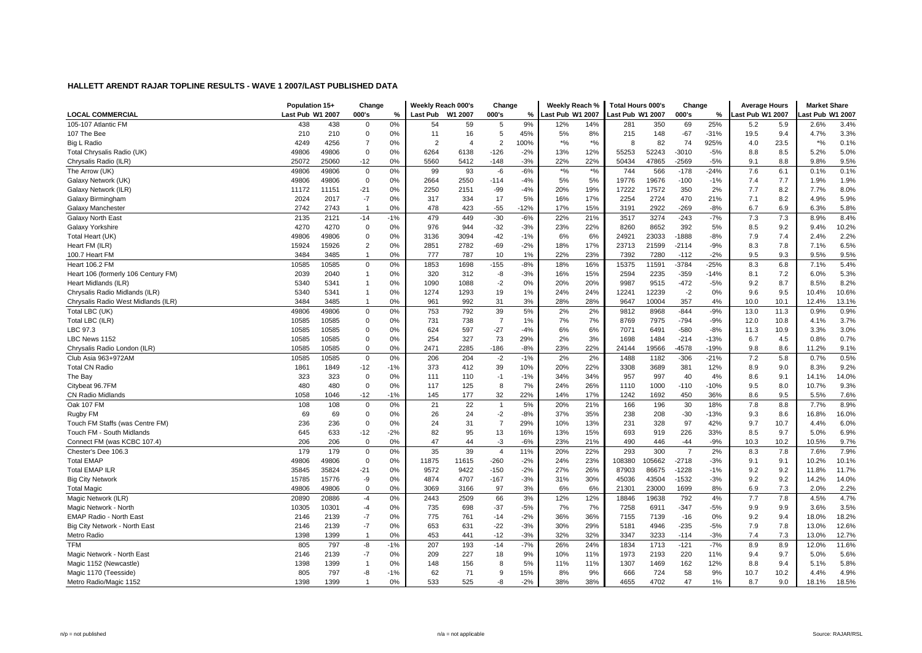|                                     | Population 15+   |       | Change         |       | Weekly Reach 000's |         | Change         |        | Weekly Reach %   |       | <b>Total Hours 000's</b> |       | Change         |        | <b>Average Hours</b> |      | <b>Market Share</b> |       |
|-------------------------------------|------------------|-------|----------------|-------|--------------------|---------|----------------|--------|------------------|-------|--------------------------|-------|----------------|--------|----------------------|------|---------------------|-------|
| <b>LOCAL COMMERCIAL</b>             | Last Pub W1 2007 |       | 000's          | %     | Last Pub           | W1 2007 | 000's          | %      | Last Pub W1 2007 |       | ast Pub W1 2007          |       | 000's          | %      | ast Pub W1 2007      |      | ast Pub W1 2007     |       |
| 105-107 Atlantic FM                 | 438              | 438   | $\mathbf 0$    | 0%    | 54                 | 59      | 5              | 9%     | 12%              | 14%   | 281                      | 350   | 69             | 25%    | 5.2                  | 5.9  | 2.6%                | 3.4%  |
| 107 The Bee                         | 210              | 210   | $\mathbf 0$    | 0%    | 11                 | 16      | 5              | 45%    | 5%               | 8%    | 215                      | 148   | $-67$          | $-31%$ | 19.5                 | 9.4  | 4.7%                | 3.3%  |
| Big L Radio                         | 4249             | 4256  | $\overline{7}$ | 0%    | $\overline{2}$     | 4       | $\overline{2}$ | 100%   | $*$ %            | $*$ % | 8                        | 82    | 74             | 925%   | 4.0                  | 23.5 | $*$ %               | 0.1%  |
| Total Chrysalis Radio (UK)          | 49806            | 49806 | 0              | 0%    | 6264               | 6138    | $-126$         | $-2%$  | 13%              | 12%   | 55253                    | 52243 | $-3010$        | $-5%$  | 8.8                  | 8.5  | 5.2%                | 5.0%  |
| Chrysalis Radio (ILR)               | 25072            | 25060 | -12            | 0%    | 5560               | 5412    | $-148$         | $-3%$  | 22%              | 22%   | 50434                    | 47865 | $-2569$        | $-5%$  | 9.1                  | 8.8  | 9.8%                | 9.5%  |
| The Arrow (UK)                      | 49806            | 49806 | $\mathbf 0$    | 0%    | 99                 | 93      | $-6$           | $-6%$  | $*$ %            | $*$ % | 744                      | 566   | $-178$         | $-24%$ | 7.6                  | 6.1  | 0.1%                | 0.1%  |
| Galaxy Network (UK)                 | 49806            | 49806 | $\mathbf 0$    | 0%    | 2664               | 2550    | $-114$         | $-4%$  | 5%               | 5%    | 19776                    | 19676 | $-100$         | $-1%$  | 7.4                  | 7.7  | 1.9%                | 1.9%  |
| Galaxy Network (ILR)                | 11172            | 11151 | $-21$          | 0%    | 2250               | 2151    | $-99$          | $-4%$  | 20%              | 19%   | 17222                    | 17572 | 350            | 2%     | 7.7                  | 8.2  | 7.7%                | 8.0%  |
| Galaxy Birmingham                   | 2024             | 2017  | $-7$           | 0%    | 317                | 334     | 17             | 5%     | 16%              | 17%   | 2254                     | 2724  | 470            | 21%    | 7.1                  | 8.2  | 4.9%                | 5.9%  |
| Galaxy Manchester                   | 2742             | 2743  | $\overline{1}$ | 0%    | 478                | 423     | $-55$          | $-12%$ | 17%              | 15%   | 3191                     | 2922  | $-269$         | $-8%$  | 6.7                  | 6.9  | 6.3%                | 5.8%  |
| <b>Galaxy North East</b>            | 2135             | 2121  | $-14$          | $-1%$ | 479                | 449     | $-30$          | $-6%$  | 22%              | 21%   | 3517                     | 3274  | $-243$         | $-7%$  | 7.3                  | 7.3  | 8.9%                | 8.4%  |
| Galaxy Yorkshire                    | 4270             | 4270  | $\mathbf 0$    | 0%    | 976                | 944     | $-32$          | $-3%$  | 23%              | 22%   | 8260                     | 8652  | 392            | 5%     | 8.5                  | 9.2  | 9.4%                | 10.2% |
| Total Heart (UK)                    | 49806            | 49806 | $\mathbf 0$    | 0%    | 3136               | 3094    | $-42$          | $-1%$  | 6%               | 6%    | 24921                    | 23033 | $-1888$        | $-8%$  | 7.9                  | 7.4  | 2.4%                | 2.2%  |
| Heart FM (ILR)                      | 15924            | 15926 | $\overline{c}$ | 0%    | 2851               | 2782    | $-69$          | $-2%$  | 18%              | 17%   | 23713                    | 21599 | $-2114$        | $-9%$  | 8.3                  | 7.8  | 7.1%                | 6.5%  |
| 100.7 Heart FM                      | 3484             | 3485  | $\mathbf{1}$   | 0%    | 777                | 787     | 10             | 1%     | 22%              | 23%   | 7392                     | 7280  | $-112$         | $-2%$  | 9.5                  | 9.3  | 9.5%                | 9.5%  |
| <b>Heart 106.2 FM</b>               | 10585            | 10585 | 0              | 0%    | 1853               | 1698    | $-155$         | $-8%$  | 18%              | 16%   | 15375                    | 11591 | $-3784$        | $-25%$ | 8.3                  | 6.8  | 7.1%                | 5.4%  |
| Heart 106 (formerly 106 Century FM) | 2039             | 2040  | $\mathbf{1}$   | 0%    | 320                | 312     | -8             | $-3%$  | 16%              | 15%   | 2594                     | 2235  | $-359$         | $-14%$ | 8.1                  | 7.2  | 6.0%                | 5.3%  |
| Heart Midlands (ILR)                | 5340             | 5341  | $\overline{1}$ | 0%    | 1090               | 1088    | $-2$           | 0%     | 20%              | 20%   | 9987                     | 9515  | $-472$         | $-5%$  | 9.2                  | 8.7  | 8.5%                | 8.2%  |
| Chrysalis Radio Midlands (ILR)      | 5340             | 5341  | $\mathbf{1}$   | 0%    | 1274               | 1293    | 19             | 1%     | 24%              | 24%   | 12241                    | 12239 | $-2$           | 0%     | 9.6                  | 9.5  | 10.4%               | 10.6% |
| Chrysalis Radio West Midlands (ILR) | 3484             | 3485  | $\overline{1}$ | 0%    | 961                | 992     | 31             | 3%     | 28%              | 28%   | 9647                     | 10004 | 357            | 4%     | 10.0                 | 10.1 | 12.4%               | 13.1% |
| Total LBC (UK)                      | 49806            | 49806 | $\mathbf 0$    | 0%    | 753                | 792     | 39             | 5%     | 2%               | 2%    | 9812                     | 8968  | $-844$         | $-9%$  | 13.0                 | 11.3 | 0.9%                | 0.9%  |
| Total LBC (ILR)                     | 10585            | 10585 | $\mathbf 0$    | 0%    | 731                | 738     | $\overline{7}$ | 1%     | 7%               | 7%    | 8769                     | 7975  | $-794$         | $-9%$  | 12.0                 | 10.8 | 4.1%                | 3.7%  |
| LBC 97.3                            | 10585            | 10585 | 0              | 0%    | 624                | 597     | $-27$          | $-4%$  | 6%               | 6%    | 7071                     | 6491  | -580           | $-8%$  | 11.3                 | 10.9 | 3.3%                | 3.0%  |
| LBC News 1152                       | 10585            | 10585 | 0              | 0%    | 254                | 327     | 73             | 29%    | 2%               | 3%    | 1698                     | 1484  | $-214$         | $-13%$ | 6.7                  | 4.5  | 0.8%                | 0.7%  |
| Chrysalis Radio London (ILR)        | 10585            | 10585 | $\mathbf 0$    | 0%    | 2471               | 2285    | $-186$         | $-8%$  | 23%              | 22%   | 24144                    | 19566 | $-4578$        | $-19%$ | 9.8                  | 8.6  | 11.2%               | 9.1%  |
| Club Asia 963+972AM                 | 10585            | 10585 | $\mathsf 0$    | 0%    | 206                | 204     | $-2$           | $-1%$  | 2%               | 2%    | 1488                     | 1182  | $-306$         | $-21%$ | 7.2                  | 5.8  | 0.7%                | 0.5%  |
| <b>Total CN Radio</b>               | 1861             | 1849  | -12            | $-1%$ | 373                | 412     | 39             | 10%    | 20%              | 22%   | 3308                     | 3689  | 381            | 12%    | 8.9                  | 9.0  | 8.3%                | 9.2%  |
| The Bay                             | 323              | 323   | 0              | 0%    | 111                | 110     | $-1$           | $-1%$  | 34%              | 34%   | 957                      | 997   | 40             | 4%     | 8.6                  | 9.1  | 14.1%               | 14.0% |
| Citybeat 96.7FM                     | 480              | 480   | 0              | 0%    | 117                | 125     | 8              | 7%     | 24%              | 26%   | 1110                     | 1000  | $-110$         | $-10%$ | 9.5                  | 8.0  | 10.7%               | 9.3%  |
| <b>CN Radio Midlands</b>            | 1058             | 1046  | -12            | $-1%$ | 145                | 177     | 32             | 22%    | 14%              | 17%   | 1242                     | 1692  | 450            | 36%    | 8.6                  | 9.5  | 5.5%                | 7.6%  |
| Oak 107 FM                          | 108              | 108   | $\mathbf 0$    | 0%    | 21                 | 22      | $\mathbf{1}$   | 5%     | 20%              | 21%   | 166                      | 196   | 30             | 18%    | 7.8                  | 8.8  | 7.7%                | 8.9%  |
| Rugby FM                            | 69               | 69    | 0              | 0%    | 26                 | 24      | $-2$           | $-8%$  | 37%              | 35%   | 238                      | 208   | $-30$          | $-13%$ | 9.3                  | 8.6  | 16.8%               | 16.0% |
| Touch FM Staffs (was Centre FM)     | 236              | 236   | $\mathbf 0$    | 0%    | 24                 | 31      | $\overline{7}$ | 29%    | 10%              | 13%   | 231                      | 328   | 97             | 42%    | 9.7                  | 10.7 | 4.4%                | 6.0%  |
| Touch FM - South Midlands           | 645              | 633   | $-12$          | $-2%$ | 82                 | 95      | 13             | 16%    | 13%              | 15%   | 693                      | 919   | 226            | 33%    | 8.5                  | 9.7  | 5.0%                | 6.9%  |
| Connect FM (was KCBC 107.4)         | 206              | 206   | 0              | 0%    | 47                 | 44      | $-3$           | $-6%$  | 23%              | 21%   | 490                      | 446   | $-44$          | $-9%$  | 10.3                 | 10.2 | 10.5%               | 9.7%  |
| Chester's Dee 106.3                 | 179              | 179   | $\mathbf 0$    | 0%    | 35                 | 39      | $\overline{4}$ | 11%    | 20%              | 22%   | 293                      | 300   | $\overline{7}$ | 2%     | 8.3                  | 7.8  | 7.6%                | 7.9%  |
| <b>Total EMAP</b>                   | 49806            | 49806 | 0              | 0%    | 11875              | 11615   | $-260$         | $-2%$  | 24%              | 23%   | 108380                   | 05662 | $-2718$        | $-3%$  | 9.1                  | 9.1  | 10.2%               | 10.1% |
| <b>Total EMAP ILR</b>               | 35845            | 35824 | $-21$          | 0%    | 9572               | 9422    | $-150$         | $-2%$  | 27%              | 26%   | 87903                    | 86675 | $-1228$        | $-1%$  | 9.2                  | 9.2  | 11.8%               | 11.7% |
| <b>Big City Network</b>             | 15785            | 15776 | -9             | 0%    | 4874               | 4707    | $-167$         | $-3%$  | 31%              | 30%   | 45036                    | 43504 | $-1532$        | $-3%$  | 9.2                  | 9.2  | 14.2%               | 14.0% |
| <b>Total Magic</b>                  | 49806            | 49806 | $\mathbf 0$    | 0%    | 3069               | 3166    | 97             | 3%     | 6%               | 6%    | 21301                    | 23000 | 1699           | 8%     | 6.9                  | 7.3  | 2.0%                | 2.2%  |
| Magic Network (ILR)                 | 20890            | 20886 | $-4$           | 0%    | 2443               | 2509    | 66             | 3%     | 12%              | 12%   | 18846                    | 19638 | 792            | 4%     | 7.7                  | 7.8  | 4.5%                | 4.7%  |
| Magic Network - North               | 10305            | 10301 | $-4$           | 0%    | 735                | 698     | $-37$          | $-5%$  | 7%               | 7%    | 7258                     | 6911  | $-347$         | $-5%$  | 9.9                  | 9.9  | 3.6%                | 3.5%  |
| EMAP Radio - North East             | 2146             | 2139  | $-7$           | 0%    | 775                | 761     | $-14$          | $-2%$  | 36%              | 36%   | 7155                     | 7139  | $-16$          | 0%     | 9.2                  | 9.4  | 18.0%               | 18.2% |
| Big City Network - North East       | 2146             | 2139  | $-7$           | 0%    | 653                | 631     | $-22$          | $-3%$  | 30%              | 29%   | 5181                     | 4946  | $-235$         | $-5%$  | 7.9                  | 7.8  | 13.0%               | 12.6% |
| Metro Radio                         | 1398             | 1399  | $\overline{1}$ | 0%    | 453                | 441     | $-12$          | $-3%$  | 32%              | 32%   | 3347                     | 3233  | $-114$         | $-3%$  | 7.4                  | 7.3  | 13.0%               | 12.7% |
| <b>TFM</b>                          | 805              | 797   | -8             | $-1%$ | 207                | 193     | $-14$          | $-7%$  | 26%              | 24%   | 1834                     | 1713  | $-121$         | $-7%$  | 8.9                  | 8.9  | 12.0%               | 11.6% |
| Magic Network - North East          | 2146             | 2139  | $-7$           | 0%    | 209                | 227     | 18             | 9%     | 10%              | 11%   | 1973                     | 2193  | 220            | 11%    | 9.4                  | 9.7  | 5.0%                | 5.6%  |
| Magic 1152 (Newcastle)              | 1398             | 1399  | $\overline{1}$ | 0%    | 148                | 156     | 8              | 5%     | 11%              | 11%   | 1307                     | 1469  | 162            | 12%    | 8.8                  | 9.4  | 5.1%                | 5.8%  |
| Magic 1170 (Teesside)               | 805              | 797   | -8             | $-1%$ | 62                 | 71      | 9              | 15%    | 8%               | 9%    | 666                      | 724   | 58             | 9%     | 10.7                 | 10.2 | 4.4%                | 4.9%  |
| Metro Radio/Magic 1152              | 1398             | 1399  | $\overline{1}$ | 0%    | 533                | 525     | -8             | $-2%$  | 38%              | 38%   | 4655                     | 4702  | 47             | 1%     | 8.7                  | 9.0  | 18.1%               | 18.5% |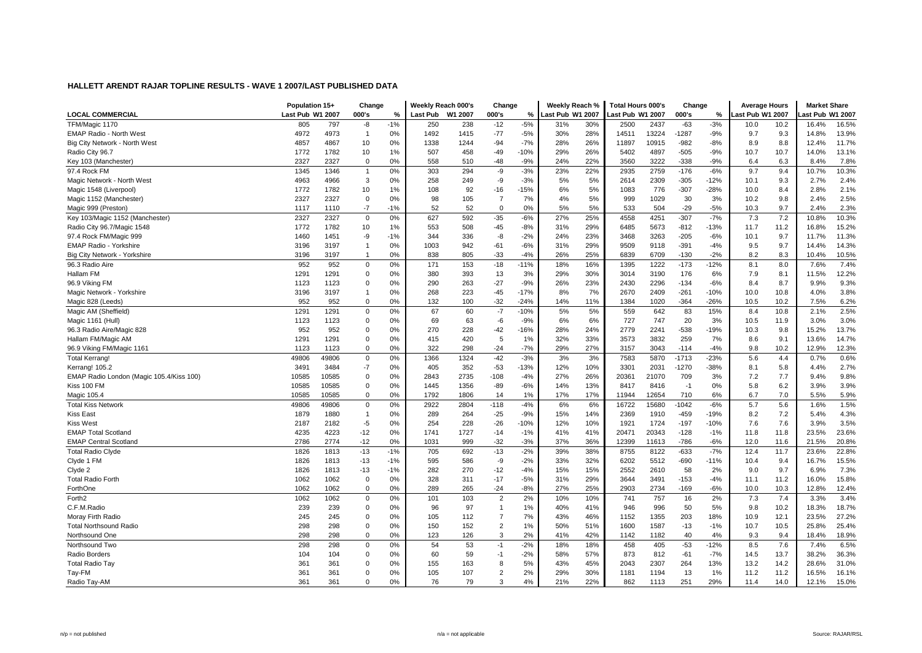|                                          | Population 15+   |       | Change         |               | Weekly Reach 000's |         | Change         |        | Weekly Reach %   |     | Total Hours 000's |       | Change  |               | <b>Average Hours</b> |      | <b>Market Share</b> |       |
|------------------------------------------|------------------|-------|----------------|---------------|--------------------|---------|----------------|--------|------------------|-----|-------------------|-------|---------|---------------|----------------------|------|---------------------|-------|
| <b>LOCAL COMMERCIAL</b>                  | Last Pub W1 2007 |       | 000's          | $\frac{9}{6}$ | <b>Last Pub</b>    | W1 2007 | 000's          | %      | Last Pub W1 2007 |     | ast Pub W1 2007   |       | 000's   | $\frac{9}{6}$ | ast Pub W1 2007      |      | ast Pub W1 2007     |       |
| TFM/Magic 1170                           | 805              | 797   | -8             | $-1%$         | 250                | 238     | $-12$          | $-5%$  | 31%              | 30% | 2500              | 2437  | $-63$   | $-3%$         | 10.0                 | 10.2 | 16.4%               | 16.5% |
| <b>EMAP Radio - North West</b>           | 4972             | 4973  | $\overline{1}$ | 0%            | 1492               | 1415    | $-77$          | $-5%$  | 30%              | 28% | 14511             | 13224 | $-1287$ | $-9%$         | 9.7                  | 9.3  | 14.8%               | 13.9% |
| Big City Network - North West            | 4857             | 4867  | 10             | 0%            | 1338               | 1244    | $-94$          | $-7%$  | 28%              | 26% | 11897             | 10915 | $-982$  | $-8%$         | 8.9                  | 8.8  | 12.4%               | 11.7% |
| Radio City 96.7                          | 1772             | 1782  | 10             | 1%            | 507                | 458     | $-49$          | $-10%$ | 29%              | 26% | 5402              | 4897  | $-505$  | $-9%$         | 10.7                 | 10.7 | 14.0%               | 13.1% |
| Key 103 (Manchester)                     | 2327             | 2327  | 0              | 0%            | 558                | 510     | $-48$          | $-9%$  | 24%              | 22% | 3560              | 3222  | $-338$  | -9%           | 6.4                  | 6.3  | 8.4%                | 7.8%  |
| 97.4 Rock FM                             | 1345             | 1346  | $\overline{1}$ | 0%            | 303                | 294     | $-9$           | $-3%$  | 23%              | 22% | 2935              | 2759  | $-176$  | $-6%$         | 9.7                  | 9.4  | 10.7%               | 10.3% |
| Magic Network - North West               | 4963             | 4966  | 3              | 0%            | 258                | 249     | -9             | $-3%$  | 5%               | 5%  | 2614              | 2309  | $-305$  | $-12%$        | 10.1                 | 9.3  | 2.7%                | 2.4%  |
| Magic 1548 (Liverpool)                   | 1772             | 1782  | 10             | 1%            | 108                | 92      | $-16$          | $-15%$ | 6%               | 5%  | 1083              | 776   | $-307$  | $-28%$        | 10.0                 | 8.4  | 2.8%                | 2.1%  |
| Magic 1152 (Manchester)                  | 2327             | 2327  | 0              | 0%            | 98                 | 105     | $\overline{7}$ | 7%     | 4%               | 5%  | 999               | 1029  | 30      | 3%            | 10.2                 | 9.8  | 2.4%                | 2.5%  |
| Magic 999 (Preston)                      | 1117             | 1110  | $-7$           | $-1%$         | 52                 | 52      | $\mathbf 0$    | 0%     | 5%               | 5%  | 533               | 504   | $-29$   | $-5%$         | 10.3                 | 9.7  | 2.4%                | 2.3%  |
| Key 103/Magic 1152 (Manchester)          | 2327             | 2327  | $\mathbf 0$    | 0%            | 627                | 592     | $-35$          | $-6%$  | 27%              | 25% | 4558              | 4251  | $-307$  | $-7%$         | 7.3                  | 7.2  | 10.8%               | 10.3% |
| Radio City 96.7/Magic 1548               | 1772             | 1782  | 10             | 1%            | 553                | 508     | $-45$          | $-8%$  | 31%              | 29% | 6485              | 5673  | $-812$  | $-13%$        | 11.7                 | 11.2 | 16.8%               | 15.2% |
| 97.4 Rock FM/Magic 999                   | 1460             | 1451  | -9             | $-1%$         | 344                | 336     | -8             | $-2%$  | 24%              | 23% | 3468              | 3263  | $-205$  | $-6%$         | 10.1                 | 9.7  | 11.7%               | 11.3% |
| <b>EMAP Radio - Yorkshire</b>            | 3196             | 3197  | $\mathbf{1}$   | 0%            | 1003               | 942     | $-61$          | $-6%$  | 31%              | 29% | 9509              | 9118  | $-391$  | $-4%$         | 9.5                  | 9.7  | 14.4%               | 14.3% |
| Big City Network - Yorkshire             | 3196             | 3197  | $\overline{1}$ | 0%            | 838                | 805     | $-33$          | $-4%$  | 26%              | 25% | 6839              | 6709  | $-130$  | $-2%$         | 8.2                  | 8.3  | 10.4%               | 10.5% |
| 96.3 Radio Aire                          | 952              | 952   | $\mathbf 0$    | 0%            | 171                | 153     | $-18$          | $-11%$ | 18%              | 16% | 1395              | 1222  | $-173$  | $-12%$        | 8.1                  | 8.0  | 7.6%                | 7.4%  |
| Hallam FM                                | 1291             | 1291  | 0              | 0%            | 380                | 393     | 13             | 3%     | 29%              | 30% | 3014              | 3190  | 176     | 6%            | 7.9                  | 8.1  | 11.5%               | 12.2% |
| 96.9 Viking FM                           | 1123             | 1123  | 0              | 0%            | 290                | 263     | $-27$          | $-9%$  | 26%              | 23% | 2430              | 2296  | $-134$  | $-6%$         | 8.4                  | 8.7  | 9.9%                | 9.3%  |
| Magic Network - Yorkshire                | 3196             | 3197  | $\mathbf{1}$   | 0%            | 268                | 223     | $-45$          | $-17%$ | 8%               | 7%  | 2670              | 2409  | $-261$  | $-10%$        | 10.0                 | 10.8 | 4.0%                | 3.8%  |
| Magic 828 (Leeds)                        | 952              | 952   | 0              | 0%            | 132                | 100     | $-32$          | $-24%$ | 14%              | 11% | 1384              | 1020  | $-364$  | $-26%$        | 10.5                 | 10.2 | 7.5%                | 6.2%  |
| Magic AM (Sheffield)                     | 1291             | 1291  | $\mathbf 0$    | 0%            | 67                 | 60      | $-7$           | $-10%$ | 5%               | 5%  | 559               | 642   | 83      | 15%           | 8.4                  | 10.8 | 2.1%                | 2.5%  |
| Magic 1161 (Hull)                        | 1123             | 1123  | $\mathbf 0$    | 0%            | 69                 | 63      | $-6$           | $-9%$  | 6%               | 6%  | 727               | 747   | 20      | 3%            | 10.5                 | 11.9 | 3.0%                | 3.0%  |
| 96.3 Radio Aire/Magic 828                | 952              | 952   | 0              | 0%            | 270                | 228     | $-42$          | $-16%$ | 28%              | 24% | 2779              | 2241  | $-538$  | $-19%$        | 10.3                 | 9.8  | 15.2%               | 13.7% |
| Hallam FM/Magic AM                       | 1291             | 1291  | 0              | 0%            | 415                | 420     | 5              | 1%     | 32%              | 33% | 3573              | 3832  | 259     | 7%            | 8.6                  | 9.1  | 13.6%               | 14.7% |
| 96.9 Viking FM/Magic 1161                | 1123             | 1123  | $\mathbf 0$    | 0%            | 322                | 298     | $-24$          | $-7%$  | 29%              | 27% | 3157              | 3043  | $-114$  | $-4%$         | 9.8                  | 10.2 | 12.9%               | 12.3% |
| <b>Total Kerrang!</b>                    | 49806            | 49806 | 0              | 0%            | 1366               | 1324    | $-42$          | $-3%$  | 3%               | 3%  | 7583              | 5870  | $-1713$ | $-23%$        | 5.6                  | 4.4  | 0.7%                | 0.6%  |
| Kerrang! 105.2                           | 3491             | 3484  | $-7$           | 0%            | 405                | 352     | $-53$          | $-13%$ | 12%              | 10% | 3301              | 2031  | $-1270$ | $-38%$        | 8.1                  | 5.8  | 4.4%                | 2.7%  |
| EMAP Radio London (Magic 105.4/Kiss 100) | 10585            | 10585 | 0              | 0%            | 2843               | 2735    | $-108$         | $-4%$  | 27%              | 26% | 20361             | 21070 | 709     | 3%            | 7.2                  | 7.7  | 9.4%                | 9.8%  |
| Kiss 100 FM                              | 10585            | 10585 | $\mathbf 0$    | 0%            | 1445               | 1356    | $-89$          | $-6%$  | 14%              | 13% | 8417              | 8416  | $-1$    | 0%            | 5.8                  | 6.2  | 3.9%                | 3.9%  |
| Magic 105.4                              | 10585            | 10585 | $\mathbf 0$    | 0%            | 1792               | 1806    | 14             | 1%     | 17%              | 17% | 11944             | 12654 | 710     | 6%            | 6.7                  | 7.0  | 5.5%                | 5.9%  |
| <b>Total Kiss Network</b>                | 49806            | 49806 | $\mathbf 0$    | 0%            | 2922               | 2804    | $-118$         | $-4%$  | 6%               | 6%  | 16722             | 15680 | $-1042$ | $-6%$         | 5.7                  | 5.6  | 1.6%                | 1.5%  |
| <b>Kiss East</b>                         | 1879             | 1880  | $\mathbf{1}$   | 0%            | 289                | 264     | $-25$          | $-9%$  | 15%              | 14% | 2369              | 1910  | $-459$  | $-19%$        | 8.2                  | 7.2  | 5.4%                | 4.3%  |
| <b>Kiss West</b>                         | 2187             | 2182  | $-5$           | 0%            | 254                | 228     | $-26$          | $-10%$ | 12%              | 10% | 1921              | 1724  | $-197$  | $-10%$        | 7.6                  | 7.6  | 3.9%                | 3.5%  |
| <b>EMAP Total Scotland</b>               | 4235             | 4223  | -12            | 0%            | 1741               | 1727    | $-14$          | $-1%$  | 41%              | 41% | 20471             | 20343 | $-128$  | $-1%$         | 11.8                 | 11.8 | 23.5%               | 23.6% |
| <b>EMAP Central Scotland</b>             | 2786             | 2774  | $-12$          | 0%            | 1031               | 999     | $-32$          | $-3%$  | 37%              | 36% | 12399             | 11613 | $-786$  | $-6%$         | 12.0                 | 11.6 | 21.5%               | 20.8% |
| <b>Total Radio Clyde</b>                 | 1826             | 1813  | $-13$          | $-1%$         | 705                | 692     | $-13$          | $-2%$  | 39%              | 38% | 8755              | 8122  | $-633$  | $-7%$         | 12.4                 | 11.7 | 23.6%               | 22.8% |
| Clyde 1 FM                               | 1826             | 1813  | $-13$          | $-1%$         | 595                | 586     | $-9$           | $-2%$  | 33%              | 32% | 6202              | 5512  | $-690$  | $-11%$        | 10.4                 | 9.4  | 16.7%               | 15.5% |
| Clyde 2                                  | 1826             | 1813  | $-13$          | $-1%$         | 282                | 270     | $-12$          | $-4%$  | 15%              | 15% | 2552              | 2610  | 58      | 2%            | 9.0                  | 9.7  | 6.9%                | 7.3%  |
| <b>Total Radio Forth</b>                 | 1062             | 1062  | 0              | 0%            | 328                | 311     | $-17$          | $-5%$  | 31%              | 29% | 3644              | 3491  | $-153$  | $-4%$         | 11.1                 | 11.2 | 16.0%               | 15.8% |
| ForthOne                                 | 1062             | 1062  | $\mathbf 0$    | 0%            | 289                | 265     | $-24$          | $-8%$  | 27%              | 25% | 2903              | 2734  | -169    | $-6%$         | 10.0                 | 10.3 | 12.8%               | 12.4% |
| Forth <sub>2</sub>                       | 1062             | 1062  | 0              | 0%            | 101                | 103     | $\overline{2}$ | 2%     | 10%              | 10% | 741               | 757   | 16      | 2%            | 7.3                  | 7.4  | 3.3%                | 3.4%  |
| C.F.M.Radio                              | 239              | 239   | 0              | 0%            | 96                 | 97      | $\mathbf{1}$   | 1%     | 40%              | 41% | 946               | 996   | 50      | 5%            | 9.8                  | 10.2 | 18.3%               | 18.7% |
| Moray Firth Radio                        | 245              | 245   | $\mathbf 0$    | 0%            | 105                | 112     | $\overline{7}$ | 7%     | 43%              | 46% | 1152              | 1355  | 203     | 18%           | 10.9                 | 12.1 | 23.5%               | 27.2% |
| <b>Total Northsound Radio</b>            | 298              | 298   | $\mathbf 0$    | 0%            | 150                | 152     | $\overline{2}$ | 1%     | 50%              | 51% | 1600              | 1587  | $-13$   | $-1%$         | 10.7                 | 10.5 | 25.8%               | 25.4% |
| Northsound One                           | 298              | 298   | $\mathbf 0$    | 0%            | 123                | 126     | 3              | 2%     | 41%              | 42% | 1142              | 1182  | 40      | 4%            | 9.3                  | 9.4  | 18.4%               | 18.9% |
| Northsound Two                           | 298              | 298   | 0              | 0%            | 54                 | 53      | $-1$           | $-2%$  | 18%              | 18% | 458               | 405   | $-53$   | $-12%$        | 8.5                  | 7.6  | 7.4%                | 6.5%  |
| Radio Borders                            | 104              | 104   | 0              | 0%            | 60                 | 59      | $-1$           | $-2%$  | 58%              | 57% | 873               | 812   | $-61$   | $-7%$         | 14.5                 | 13.7 | 38.2%               | 36.3% |
| Total Radio Tay                          | 361              | 361   | 0              | 0%            | 155                | 163     | 8              | 5%     | 43%              | 45% | 2043              | 2307  | 264     | 13%           | 13.2                 | 14.2 | 28.6%               | 31.0% |
| Tay-FM                                   | 361              | 361   | 0              | 0%            | 105                | 107     | $\overline{2}$ | 2%     | 29%              | 30% | 1181              | 1194  | 13      | 1%            | 11.2                 | 11.2 | 16.5%               | 16.1% |
| Radio Tay-AM                             | 361              | 361   | $\Omega$       | 0%            | 76                 | 79      | 3              | 4%     | 21%              | 22% | 862               | 1113  | 251     | 29%           | 11.4                 | 14.0 | 12.1%               | 15.0% |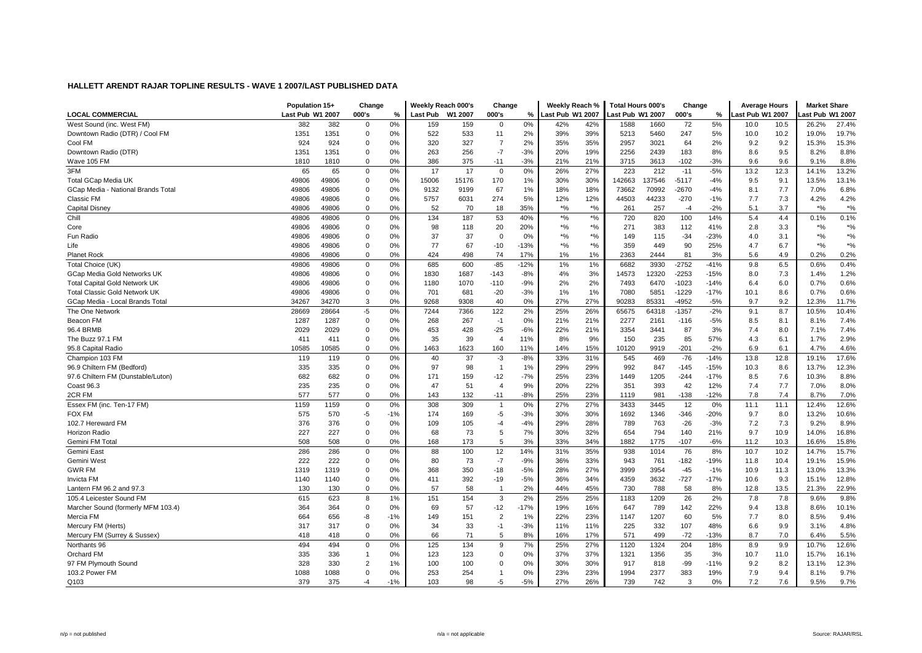|                                      | Population 15+   |       | Change         |       | Weekly Reach 000's |         | Change         |        | Weekly Reach %   |                                | <b>Total Hours 000's</b> |        | Change  |        | <b>Average Hours</b> |      | <b>Market Share</b> |                   |
|--------------------------------------|------------------|-------|----------------|-------|--------------------|---------|----------------|--------|------------------|--------------------------------|--------------------------|--------|---------|--------|----------------------|------|---------------------|-------------------|
| <b>LOCAL COMMERCIAL</b>              | Last Pub W1 2007 |       | 000's          | %     | Last Pub           | W1 2007 | 000's          | %      | Last Pub W1 2007 |                                | ast Pub W1 2007          |        | 000's   | %      | ast Pub W1 2007      |      | ast Pub W1 2007     |                   |
| West Sound (inc. West FM)            | 382              | 382   | $\Omega$       | 0%    | 159                | 159     | $\Omega$       | 0%     | 42%              | 42%                            | 1588                     | 1660   | 72      | 5%     | 10.0                 | 10.5 | 26.2%               | 27.4%             |
| Downtown Radio (DTR) / Cool FM       | 1351             | 1351  | 0              | 0%    | 522                | 533     | 11             | 2%     | 39%              | 39%                            | 5213                     | 5460   | 247     | 5%     | 10.0                 | 10.2 | 19.0%               | 19.7%             |
| Cool FM                              | 924              | 924   | 0              | 0%    | 320                | 327     | $\overline{7}$ | 2%     | 35%              | 35%                            | 2957                     | 3021   | 64      | 2%     | 9.2                  | 9.2  | 15.3%               | 15.3%             |
| Downtown Radio (DTR)                 | 1351             | 1351  | 0              | 0%    | 263                | 256     | $-7$           | $-3%$  | 20%              | 19%                            | 2256                     | 2439   | 183     | 8%     | 8.6                  | 9.5  | 8.2%                | 8.8%              |
| Wave 105 FM                          | 1810             | 1810  | 0              | 0%    | 386                | 375     | $-11$          | $-3%$  | 21%              | 21%                            | 3715                     | 3613   | -102    | $-3%$  | 9.6                  | 9.6  | 9.1%                | 8.8%              |
| 3FM                                  | 65               | 65    | 0              | 0%    | 17                 | 17      | $\Omega$       | 0%     | 26%              | 27%                            | 223                      | 212    | $-11$   | $-5%$  | 13.2                 | 12.3 | 14.1%               | 13.2%             |
| <b>Total GCap Media UK</b>           | 49806            | 49806 | 0              | 0%    | 15006              | 15176   | 170            | 1%     | 30%              | 30%                            | 142663                   | 137546 | $-5117$ | $-4%$  | 9.5                  | 9.1  | 13.5%               | 13.1%             |
| GCap Media - National Brands Total   | 49806            | 49806 | $\mathbf 0$    | 0%    | 9132               | 9199    | 67             | 1%     | 18%              | 18%                            | 73662                    | 70992  | $-2670$ | $-4%$  | 8.1                  | 7.7  | 7.0%                | 6.8%              |
| Classic FM                           | 49806            | 49806 | 0              | 0%    | 5757               | 6031    | 274            | 5%     | 12%              | 12%                            | 44503                    | 44233  | $-270$  | $-1%$  | 7.7                  | 7.3  | 4.2%                | 4.2%              |
| Capital Disney                       | 49806            | 49806 | 0              | 0%    | 52                 | 70      | 18             | 35%    | $*$ %            | $*$ %                          | 261                      | 257    | $-4$    | $-2%$  | 5.1                  | 3.7  | $*9/6$              | $*$ %             |
| Chill                                | 49806            | 49806 | 0              | 0%    | 134                | 187     | 53             | 40%    | $*$ %            | $\star\mathrm{o}_{\mathrm{6}}$ | 720                      | 820    | 100     | 14%    | 5.4                  | 4.4  | 0.1%                | 0.1%              |
| Core                                 | 49806            | 49806 | 0              | 0%    | 98                 | 118     | 20             | 20%    | $*$ %            | $*$ %                          | 271                      | 383    | 112     | 41%    | 2.8                  | 3.3  | $*$ %               | $*$ %             |
| Fun Radio                            | 49806            | 49806 | $\mathbf 0$    | 0%    | 37                 | 37      | $\Omega$       | 0%     | $*9/6$           | $*9/6$                         | 149                      | 115    | $-34$   | $-23%$ | 4.0                  | 3.1  | $*$ %               | $*$ %             |
| Life                                 | 49806            | 49806 | 0              | 0%    | 77                 | 67      | $-10$          | $-13%$ | $*$ %            | $*$ %                          | 359                      | 449    | 90      | 25%    | 4.7                  | 6.7  | $*$ %               | $*_{\frac{6}{6}}$ |
| Planet Rock                          | 49806            | 49806 | $\mathbf 0$    | 0%    | 424                | 498     | 74             | 17%    | 1%               | 1%                             | 2363                     | 2444   | 81      | 3%     | 5.6                  | 4.9  | 0.2%                | 0.2%              |
| Total Choice (UK)                    | 49806            | 49806 | $\mathbf 0$    | 0%    | 685                | 600     | $-85$          | $-12%$ | 1%               | 1%                             | 6682                     | 3930   | $-2752$ | $-41%$ | 9.8                  | 6.5  | 0.6%                | 0.4%              |
| GCap Media Gold Networks UK          | 49806            | 49806 | 0              | 0%    | 1830               | 1687    | $-143$         | $-8%$  | 4%               | 3%                             | 14573                    | 12320  | $-2253$ | $-15%$ | 8.0                  | 7.3  | 1.4%                | 1.2%              |
| <b>Total Capital Gold Network UK</b> | 49806            | 49806 | 0              | 0%    | 1180               | 1070    | $-110$         | $-9%$  | 2%               | 2%                             | 7493                     | 6470   | $-1023$ | $-14%$ | 6.4                  | 6.0  | 0.7%                | 0.6%              |
| <b>Total Classic Gold Network UK</b> | 49806            | 49806 | 0              | 0%    | 701                | 681     | $-20$          | $-3%$  | 1%               | 1%                             | 7080                     | 5851   | $-1229$ | $-17%$ | 10.1                 | 8.6  | 0.7%                | 0.6%              |
| GCap Media - Local Brands Total      | 34267            | 34270 | 3              | 0%    | 9268               | 9308    | 40             | 0%     | 27%              | 27%                            | 90283                    | 85331  | $-4952$ | $-5%$  | 9.7                  | 9.2  | 12.3%               | 11.7%             |
| The One Network                      | 28669            | 28664 | $-5$           | 0%    | 7244               | 7366    | 122            | 2%     | 25%              | 26%                            | 65675                    | 64318  | $-1357$ | $-2%$  | 9.1                  | 8.7  | 10.5%               | 10.4%             |
| Beacon FM                            | 1287             | 1287  | 0              | 0%    | 268                | 267     | $-1$           | 0%     | 21%              | 21%                            | 2277                     | 2161   | $-116$  | $-5%$  | 8.5                  | 8.1  | 8.1%                | 7.4%              |
| 96.4 BRMB                            | 2029             | 2029  | 0              | 0%    | 453                | 428     | $-25$          | $-6%$  | 22%              | 21%                            | 3354                     | 3441   | 87      | 3%     | 7.4                  | 8.0  | 7.1%                | 7.4%              |
| The Buzz 97.1 FM                     | 411              | 411   | 0              | 0%    | 35                 | 39      | $\overline{4}$ | 11%    | 8%               | 9%                             | 150                      | 235    | 85      | 57%    | 4.3                  | 6.1  | 1.7%                | 2.9%              |
| 95.8 Capital Radio                   | 10585            | 10585 | $\mathbf 0$    | 0%    | 1463               | 1623    | 160            | 11%    | 14%              | 15%                            | 0120                     | 9919   | $-201$  | $-2%$  | 6.9                  | 6.1  | 4.7%                | 4.6%              |
| Champion 103 FM                      | 119              | 119   | 0              | 0%    | 40                 | 37      | $-3$           | $-8%$  | 33%              | 31%                            | 545                      | 469    | $-76$   | $-14%$ | 13.8                 | 12.8 | 19.1%               | 17.6%             |
| 96.9 Chiltern FM (Bedford)           | 335              | 335   | 0              | 0%    | 97                 | 98      | $\mathbf 1$    | 1%     | 29%              | 29%                            | 992                      | 847    | $-145$  | $-15%$ | 10.3                 | 8.6  | 13.7%               | 12.3%             |
| 97.6 Chiltern FM (Dunstable/Luton)   | 682              | 682   | 0              | 0%    | 171                | 159     | $-12$          | $-7%$  | 25%              | 23%                            | 1449                     | 1205   | $-244$  | $-17%$ | 8.5                  | 7.6  | 10.3%               | 8.8%              |
| Coast 96.3                           | 235              | 235   | $\mathbf 0$    | 0%    | 47                 | 51      | $\overline{4}$ | 9%     | 20%              | 22%                            | 351                      | 393    | 42      | 12%    | 7.4                  | 7.7  | 7.0%                | 8.0%              |
| 2CR FM                               | 577              | 577   | $\mathbf 0$    | 0%    | 143                | 132     | $-11$          | $-8%$  | 25%              | 23%                            | 1119                     | 981    | $-138$  | $-12%$ | 7.8                  | 7.4  | 8.7%                | 7.0%              |
| Essex FM (inc. Ten-17 FM)            | 1159             | 1159  | $\mathbf 0$    | 0%    | 308                | 309     | $\mathbf{1}$   | 0%     | 27%              | 27%                            | 3433                     | 3445   | 12      | 0%     | 11.1                 | 11.1 | 12.4%               | 12.6%             |
| <b>FOX FM</b>                        | 575              | 570   | $-5$           | $-1%$ | 174                | 169     | $-5$           | $-3%$  | 30%              | 30%                            | 1692                     | 1346   | $-346$  | $-20%$ | 9.7                  | 8.0  | 13.2%               | 10.6%             |
| 102.7 Hereward FM                    | 376              | 376   | 0              | 0%    | 109                | 105     | $-4$           | $-4%$  | 29%              | 28%                            | 789                      | 763    | $-26$   | $-3%$  | 7.2                  | 7.3  | 9.2%                | 8.9%              |
| Horizon Radio                        | 227              | 227   | 0              | 0%    | 68                 | 73      | 5              | 7%     | 30%              | 32%                            | 654                      | 794    | 140     | 21%    | 9.7                  | 10.9 | 14.0%               | 16.8%             |
| Gemini FM Total                      | 508              | 508   | 0              | 0%    | 168                | 173     | 5              | 3%     | 33%              | 34%                            | 1882                     | 1775   | -107    | -6%    | 11.2                 | 10.3 | 16.6%               | 15.8%             |
| Gemini East                          | 286              | 286   | $\mathbf 0$    | 0%    | 88                 | 100     | 12             | 14%    | 31%              | 35%                            | 938                      | 1014   | 76      | 8%     | 10.7                 | 10.2 | 14.7%               | 15.7%             |
| Gemini West                          | 222              | 222   | 0              | 0%    | 80                 | 73      | $-7$           | $-9%$  | 36%              | 33%                            | 943                      | 761    | $-182$  | $-19%$ | 11.8                 | 10.4 | 19.1%               | 15.9%             |
| <b>GWR FM</b>                        | 1319             | 1319  | 0              | 0%    | 368                | 350     | $-18$          | $-5%$  | 28%              | 27%                            | 3999                     | 3954   | $-45$   | $-1%$  | 10.9                 | 11.3 | 13.0%               | 13.3%             |
| Invicta FM                           | 1140             | 1140  | 0              | 0%    | 411                | 392     | $-19$          | $-5%$  | 36%              | 34%                            | 4359                     | 3632   | $-727$  | $-17%$ | 10.6                 | 9.3  | 15.1%               | 12.8%             |
| Lantern FM 96.2 and 97.3             | 130              | 130   | 0              | 0%    | 57                 | 58      | $\mathbf{1}$   | 2%     | 44%              | 45%                            | 730                      | 788    | 58      | 8%     | 12.8                 | 13.5 | 21.3%               | 22.9%             |
| 105.4 Leicester Sound FM             | 615              | 623   | 8              | 1%    | 151                | 154     | 3              | 2%     | 25%              | 25%                            | 1183                     | 1209   | 26      | 2%     | 7.8                  | 7.8  | 9.6%                | 9.8%              |
| Marcher Sound (formerly MFM 103.4)   | 364              | 364   | 0              | 0%    | 69                 | 57      | $-12$          | $-17%$ | 19%              | 16%                            | 647                      | 789    | 142     | 22%    | 9.4                  | 13.8 | 8.6%                | 10.1%             |
| Mercia FM                            | 664              | 656   | -8             | $-1%$ | 149                | 151     | $\overline{2}$ | 1%     | 22%              | 23%                            | 1147                     | 1207   | 60      | 5%     | 7.7                  | 8.0  | 8.5%                | 9.4%              |
| Mercury FM (Herts)                   | 317              | 317   | $\mathbf 0$    | 0%    | 34                 | 33      | $-1$           | $-3%$  | 11%              | 11%                            | 225                      | 332    | 107     | 48%    | 6.6                  | 9.9  | 3.1%                | 4.8%              |
| Mercury FM (Surrey & Sussex)         | 418              | 418   | 0              | 0%    | 66                 | 71      | 5              | 8%     | 16%              | 17%                            | 571                      | 499    | $-72$   | $-13%$ | 8.7                  | 7.0  | 6.4%                | 5.5%              |
| Northants 96                         | 494              | 494   | 0              | 0%    | 125                | 134     | 9              | 7%     | 25%              | 27%                            | 1120                     | 1324   | 204     | 18%    | 8.9                  | 9.9  | 10.7%               | 12.6%             |
| <b>Orchard FM</b>                    | 335              | 336   | $\mathbf{1}$   | 0%    | 123                | 123     | $\Omega$       | 0%     | 37%              | 37%                            | 1321                     | 1356   | 35      | 3%     | 10.7                 | 11.0 | 15.7%               | 16.1%             |
| 97 FM Plymouth Sound                 | 328              | 330   | $\overline{2}$ | 1%    | 100                | 100     | $\Omega$       | 0%     | 30%              | 30%                            | 917                      | 818    | $-99$   | $-11%$ | 9.2                  | 8.2  | 13.1%               | 12.3%             |
| 103.2 Power FM                       | 1088             | 1088  | 0              | 0%    | 253                | 254     |                | 0%     | 23%              | 23%                            | 1994                     | 2377   | 383     | 19%    | 7.9                  | 9.4  | 8.1%                | 9.7%              |
| Q103                                 | 379              | 375   | $-4$           | $-1%$ | 103                | 98      | -5             | $-5%$  | 27%              | 26%                            | 739                      | 742    | 3       | 0%     | 7.2                  | 7.6  | 9.5%                | 9.7%              |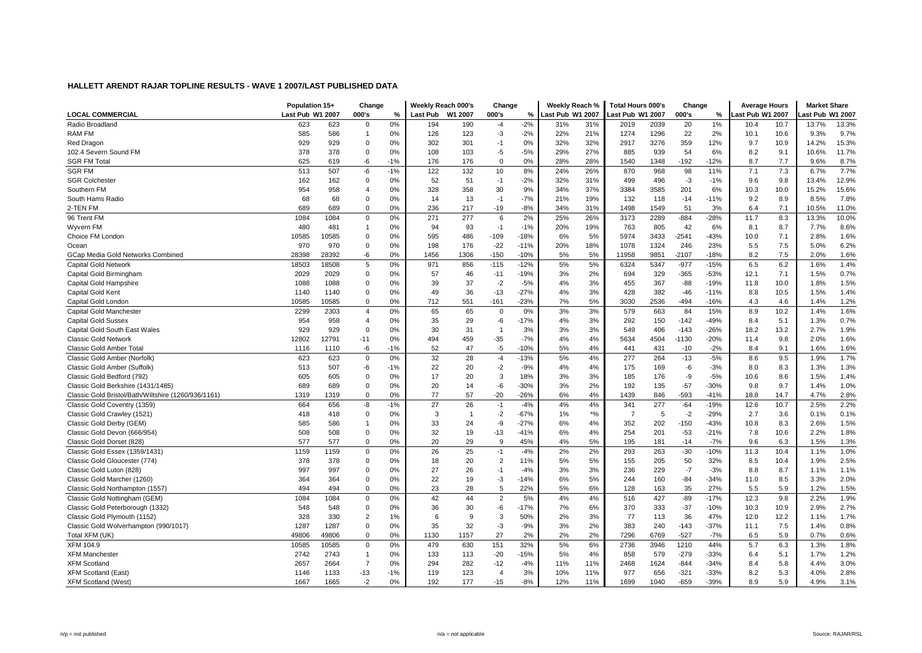|                                                     | Population 15+   |       | Change         |       | Weekly Reach 000's |                | Change         |        | Weekly Reach %   |           | <b>Total Hours 000's</b> |      | Change  |        | <b>Average Hours</b> |      | <b>Market Share</b> |       |
|-----------------------------------------------------|------------------|-------|----------------|-------|--------------------|----------------|----------------|--------|------------------|-----------|--------------------------|------|---------|--------|----------------------|------|---------------------|-------|
| <b>LOCAL COMMERCIAL</b>                             | Last Pub W1 2007 |       | 000's          | %     | Last Pub           | W1 2007        | 000's          | $\%$   | Last Pub W1 2007 |           | ast Pub W1 2007          |      | 000's   | $\%$   | ast Pub W1 2007      |      | ast Pub W1 2007.    |       |
| Radio Broadland                                     | 623              | 623   | $\mathbf 0$    | 0%    | 194                | 190            | $-4$           | $-2%$  | 31%              | 31%       | 2019                     | 2039 | 20      | 1%     | 10.4                 | 10.7 | 13.7%               | 13.3% |
| RAM FM                                              | 585              | 586   | $\overline{1}$ | 0%    | 126                | 123            | $-3$           | $-2%$  | 22%              | 21%       | 1274                     | 1296 | 22      | 2%     | 10.1                 | 10.6 | 9.3%                | 9.7%  |
| Red Dragon                                          | 929              | 929   | 0              | 0%    | 302                | 301            | $-1$           | 0%     | 32%              | 32%       | 2917                     | 3276 | 359     | 12%    | 9.7                  | 10.9 | 14.2%               | 15.3% |
| 102.4 Severn Sound FM                               | 378              | 378   | 0              | 0%    | 108                | 103            | $-5$           | $-5%$  | 29%              | 27%       | 885                      | 939  | 54      | 6%     | 8.2                  | 9.1  | 10.6%               | 11.7% |
| <b>SGR FM Total</b>                                 | 625              | 619   | -6             | $-1%$ | 176                | 176            | $\Omega$       | 0%     | 28%              | 28%       | 1540                     | 1348 | $-192$  | $-12%$ | 8.7                  | 7.7  | 9.6%                | 8.7%  |
| <b>SGR FM</b>                                       | 513              | 507   | -6             | $-1%$ | 122                | 132            | 10             | 8%     | 24%              | 26%       | 870                      | 968  | 98      | 11%    | 7.1                  | 7.3  | 6.7%                | 7.7%  |
| <b>SGR Colchester</b>                               | 162              | 162   | 0              | 0%    | 52                 | 51             | $-1$           | $-2%$  | 32%              | 31%       | 499                      | 496  | $-3$    | $-1%$  | 9.6                  | 9.8  | 13.4%               | 12.9% |
| Southern FM                                         | 954              | 958   | 4              | 0%    | 328                | 358            | 30             | 9%     | 34%              | 37%       | 3384                     | 3585 | 201     | 6%     | 10.3                 | 10.0 | 15.2%               | 15.6% |
| South Hams Radio                                    | 68               | 68    | 0              | 0%    | 14                 | 13             | $-1$           | $-7%$  | 21%              | 19%       | 132                      | 118  | $-14$   | $-11%$ | 9.2                  | 8.9  | 8.5%                | 7.8%  |
| 2-TEN FM                                            | 689              | 689   | 0              | 0%    | 236                | 217            | $-19$          | $-8%$  | 34%              | 31%       | 1498                     | 1549 | 51      | 3%     | 6.4                  | 7.1  | 10.5%               | 11.0% |
| 96 Trent FM                                         | 1084             | 1084  | 0              | 0%    | 271                | 277            | 6              | 2%     | 25%              | 26%       | 3173                     | 2289 | $-884$  | $-28%$ | 11.7                 | 8.3  | 13.3%               | 10.0% |
| Wyvern FM                                           | 480              | 481   | $\mathbf{1}$   | 0%    | 94                 | 93             | $-1$           | $-1%$  | 20%              | 19%       | 763                      | 805  | 42      | 6%     | 8.1                  | 8.7  | 7.7%                | 8.6%  |
| Choice FM London                                    | 10585            | 10585 | 0              | 0%    | 595                | 486            | $-109$         | $-18%$ | 6%               | 5%        | 5974                     | 3433 | $-2541$ | $-43%$ | 10.0                 | 7.1  | 2.8%                | 1.6%  |
| Ocean                                               | 970              | 970   | 0              | 0%    | 198                | 176            | $-22$          | $-11%$ | 20%              | 18%       | 1078                     | 1324 | 246     | 23%    | 5.5                  | 7.5  | 5.0%                | 6.2%  |
| GCap Media Gold Networks Combined                   | 28398            | 28392 | -6             | 0%    | 1456               | 1306           | $-150$         | $-10%$ | 5%               | 5%        | 11958                    | 9851 | $-2107$ | $-18%$ | 8.2                  | 7.5  | 2.0%                | 1.6%  |
| Capital Gold Network                                | 18503            | 18508 | 5              | 0%    | 971                | 856            | $-115$         | $-12%$ | 5%               | 5%        | 6324                     | 5347 | $-977$  | $-15%$ | 6.5                  | 6.2  | 1.6%                | 1.4%  |
| Capital Gold Birmingham                             | 2029             | 2029  | 0              | 0%    | 57                 | 46             | $-11$          | $-19%$ | 3%               | 2%        | 694                      | 329  | $-365$  | $-53%$ | 12.1                 | 7.1  | 1.5%                | 0.7%  |
| Capital Gold Hampshire                              | 1088             | 1088  | 0              | 0%    | 39                 | 37             | $-2$           | $-5%$  | 4%               | 3%        | 455                      | 367  | $-88$   | $-19%$ | 11.8                 | 10.0 | 1.8%                | 1.5%  |
| Capital Gold Kent                                   | 1140             | 1140  | $\mathbf 0$    | 0%    | 49                 | 36             | $-13$          | $-27%$ | 4%               | 3%        | 428                      | 382  | $-46$   | $-11%$ | 8.8                  | 10.5 | 1.5%                | 1.4%  |
| Capital Gold Londor                                 | 10585            | 10585 | $\mathbf 0$    | 0%    | 712                | 551            | $-161$         | $-23%$ | 7%               | 5%        | 3030                     | 2536 | $-494$  | $-16%$ | 4.3                  | 4.6  | 1.4%                | 1.2%  |
| Capital Gold Manchester                             | 2299             | 2303  | $\overline{4}$ | 0%    | 65                 | 65             | $\Omega$       | 0%     | 3%               | 3%        | 579                      | 663  | 84      | 15%    | 8.9                  | 10.2 | 1.4%                | 1.6%  |
| <b>Capital Gold Sussex</b>                          | 954              | 958   | $\overline{4}$ | 0%    | 35                 | 29             | -6             | $-17%$ | 4%               | 3%        | 292                      | 150  | $-142$  | $-49%$ | 8.4                  | 5.1  | 1.3%                | 0.7%  |
| Capital Gold South East Wales                       | 929              | 929   | 0              | 0%    | 30                 | 31             | $\mathbf{1}$   | 3%     | 3%               | 3%        | 549                      | 406  | $-143$  | $-26%$ | 18.2                 | 13.2 | 2.7%                | 1.9%  |
| <b>Classic Gold Network</b>                         | 12802            | 12791 | $-11$          | 0%    | 494                | 459            | $-35$          | $-7%$  | 4%               | 4%        | 5634                     | 4504 | $-1130$ | $-20%$ | 11.4                 | 9.8  | 2.0%                | 1.6%  |
| <b>Classic Gold Amber Total</b>                     | 1116             | 1110  | -6             | $-1%$ | 52                 | 47             | $-5$           | $-10%$ | 5%               | 4%        | 441                      | 431  | $-10$   | $-2%$  | 8.4                  | 9.1  | 1.6%                | 1.6%  |
| Classic Gold Amber (Norfolk)                        | 623              | 623   | 0              | 0%    | 32                 | 28             | $-4$           | $-13%$ | 5%               | 4%        | 277                      | 264  | $-13$   | $-5%$  | 8.6                  | 9.5  | 1.9%                | 1.7%  |
| Classic Gold Amber (Suffolk)                        | 513              | 507   | -6             | $-1%$ | 22                 | 20             | $-2$           | $-9%$  | 4%               | 4%        | 175                      | 169  | -6      | $-3%$  | 8.0                  | 8.3  | 1.3%                | 1.3%  |
| Classic Gold Bedford (792)                          | 605              | 605   | 0              | 0%    | 17                 | 20             | 3              | 18%    | 3%               | 3%        | 185                      | 176  | -9      | $-5%$  | 10.6                 | 8.6  | 1.5%                | 1.4%  |
| Classic Gold Berkshire (1431/1485)                  | 689              | 689   | 0              | 0%    | 20                 | 14             | -6             | $-30%$ | 3%               | 2%        | 192                      | 135  | $-57$   | $-30%$ | 9.8                  | 9.7  | 1.4%                | 1.0%  |
| Classic Gold Bristol/Bath/Wiltshire (1260/936/1161) | 1319             | 1319  | 0              | 0%    | 77                 | 57             | $-20$          | $-26%$ | 6%               | 4%        | 1439                     | 846  | $-593$  | $-41%$ | 18.8                 | 14.7 | 4.7%                | 2.8%  |
| Classic Gold Coventry (1359)                        | 664              | 656   | -8             | $-1%$ | 27                 | 26             | $-1$           | $-4%$  | 4%               | 4%        | 341                      | 277  | $-64$   | $-19%$ | 12.6                 | 10.7 | 2.5%                | 2.2%  |
| Classic Gold Crawley (1521)                         | 418              | 418   | 0              | 0%    | 3                  | $\overline{1}$ | $-2$           | $-67%$ | 1%               | $\star$ % | $\overline{7}$           | 5    | $-2$    | $-29%$ | 2.7                  | 3.6  | 0.1%                | 0.1%  |
| Classic Gold Derby (GEM)                            | 585              | 586   | $\overline{1}$ | 0%    | 33                 | 24             | -9             | $-27%$ | 6%               | 4%        | 352                      | 202  | $-150$  | $-43%$ | 10.8                 | 8.3  | 2.6%                | 1.5%  |
| Classic Gold Devon (666/954)                        | 508              | 508   | 0              | 0%    | 32                 | 19             | $-13$          | $-41%$ | 6%               | 4%        | 254                      | 201  | $-53$   | $-21%$ | 7.8                  | 10.6 | 2.2%                | 1.8%  |
| Classic Gold Dorset (828)                           | 577              | 577   | 0              | 0%    | 20                 | 29             | 9              | 45%    | 4%               | 5%        | 195                      | 181  | $-14$   | $-7%$  | 9.6                  | 6.3  | 1.5%                | 1.3%  |
| Classic Gold Essex (1359/1431)                      | 1159             | 1159  | 0              | 0%    | 26                 | 25             | $-1$           | $-4%$  | 2%               | 2%        | 293                      | 263  | $-30$   | $-10%$ | 11.3                 | 10.4 | 1.1%                | 1.0%  |
| Classic Gold Gloucester (774)                       | 378              | 378   | 0              | 0%    | 18                 | 20             | $\overline{2}$ | 11%    | 5%               | 5%        | 155                      | 205  | 50      | 32%    | 8.5                  | 10.4 | 1.9%                | 2.5%  |
| Classic Gold Luton (828)                            | 997              | 997   | 0              | 0%    | 27                 | 26             | $-1$           | $-4%$  | 3%               | 3%        | 236                      | 229  | $-7$    | $-3%$  | 8.8                  | 8.7  | 1.1%                | 1.1%  |
| Classic Gold Marcher (1260)                         | 364              | 364   | 0              | 0%    | 22                 | 19             | $-3$           | $-14%$ | 6%               | 5%        | 244                      | 160  | $-84$   | $-34%$ | 11.0                 | 8.5  | 3.3%                | 2.0%  |
| Classic Gold Northampton (1557)                     | 494              | 494   | $\mathbf 0$    | 0%    | 23                 | 28             | 5              | 22%    | 5%               | 6%        | 128                      | 163  | 35      | 27%    | 5.5                  | 5.9  | 1.2%                | 1.5%  |
| Classic Gold Nottingham (GEM)                       | 1084             | 1084  | 0              | 0%    | 42                 | 44             | $\overline{2}$ | 5%     | 4%               | 4%        | 516                      | 427  | $-89$   | $-17%$ | 12.3                 | 9.8  | 2.2%                | 1.9%  |
| Classic Gold Peterborough (1332)                    | 548              | 548   | 0              | 0%    | 36                 | 30             | -6             | $-17%$ | 7%               | 6%        | 370                      | 333  | $-37$   | $-10%$ | 10.3                 | 10.9 | 2.9%                | 2.7%  |
| Classic Gold Plymouth (1152)                        | 328              | 330   | $\overline{2}$ | 1%    | 6                  | 9              | 3              | 50%    | 2%               | 3%        | 77                       | 113  | 36      | 47%    | 12.0                 | 12.2 | 1.1%                | 1.7%  |
| Classic Gold Wolverhampton (990/1017)               | 1287             | 1287  | $\mathbf 0$    | 0%    | 35                 | 32             | $-3$           | $-9%$  | 3%               | 2%        | 383                      | 240  | $-143$  | $-37%$ | 11.1                 | 7.5  | 1.4%                | 0.8%  |
| Total XFM (UK)                                      | 49806            | 49806 | $\mathbf 0$    | 0%    | 1130               | 1157           | 27             | 2%     | 2%               | 2%        | 7296                     | 6769 | $-527$  | $-7%$  | 6.5                  | 5.9  | 0.7%                | 0.6%  |
| XFM 104.9                                           | 10585            | 10585 | $\mathbf 0$    | 0%    | 479                | 630            | 151            | 32%    | 5%               | 6%        | 2736                     | 3946 | 1210    | 44%    | 5.7                  | 6.3  | 1.3%                | 1.8%  |
| <b>XFM Manchester</b>                               | 2742             | 2743  | $\mathbf{1}$   | 0%    | 133                | 113            | $-20$          | $-15%$ | 5%               | 4%        | 858                      | 579  | $-279$  | $-33%$ | 6.4                  | 5.1  | 1.7%                | 1.2%  |
| <b>XFM Scotland</b>                                 | 2657             | 2664  | $\overline{7}$ | 0%    | 294                | 282            | $-12$          | $-4%$  | 11%              | 11%       | 2468                     | 1624 | $-844$  | $-34%$ | 8.4                  | 5.8  | 4.4%                | 3.0%  |
| <b>XFM Scotland (East)</b>                          | 1146             | 1133  | $-13$          | $-1%$ | 119                | 123            | $\overline{4}$ | 3%     | 10%              | 11%       | 977                      | 656  | $-321$  | $-33%$ | 8.2                  | 5.3  | 4.0%                | 2.8%  |
| <b>XFM Scotland (West)</b>                          | 1667             | 1665  | $-2$           | 0%    | 192                | 177            | $-15$          | $-8%$  | 12%              | 11%       | 1699                     | 1040 | $-659$  | $-39%$ | 8.9                  | 5.9  | 4.9%                | 3.1%  |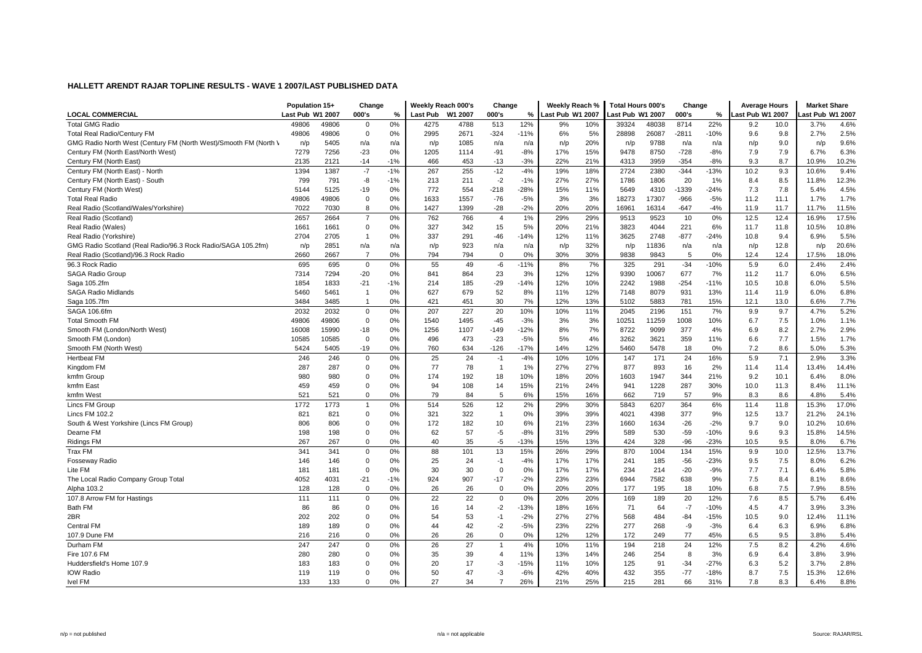|                                                                  | Population 15+   |       | Change         |       | Weekly Reach 000's |         | Change         |        | Weekly Reach %   |     | Total Hours 000's |       | Change  |        | <b>Average Hours</b> |      | <b>Market Share</b> |       |
|------------------------------------------------------------------|------------------|-------|----------------|-------|--------------------|---------|----------------|--------|------------------|-----|-------------------|-------|---------|--------|----------------------|------|---------------------|-------|
| <b>LOCAL COMMERCIAL</b>                                          | Last Pub W1 2007 |       | 000's          | %     | Last Pub           | W1 2007 | 000's          | %      | Last Pub W1 2007 |     | ast Pub W1 2007   |       | 000's   | %      | ast Pub W1 2007      |      | ast Pub W1 2007.    |       |
| <b>Total GMG Radio</b>                                           | 49806            | 49806 | $\mathbf{0}$   | 0%    | 4275               | 4788    | 513            | 12%    | 9%               | 10% | 39324             | 48038 | 8714    | 22%    | 9.2                  | 10.0 | 3.7%                | 4.6%  |
| <b>Total Real Radio/Century FM</b>                               | 49806            | 49806 | $\mathbf 0$    | 0%    | 2995               | 2671    | $-324$         | $-11%$ | 6%               | 5%  | 28898             | 26087 | $-2811$ | $-10%$ | 9.6                  | 9.8  | 2.7%                | 2.5%  |
| GMG Radio North West (Century FM (North West)/Smooth FM (North \ | n/p              | 5405  | n/a            | n/a   | n/p                | 1085    | n/a            | n/a    | n/p              | 20% | n/p               | 9788  | n/a     | n/a    | n/p                  | 9.0  | n/p                 | 9.6%  |
| Century FM (North East/North West)                               | 7279             | 7256  | $-23$          | 0%    | 1205               | 1114    | $-91$          | $-8%$  | 17%              | 15% | 9478              | 8750  | $-728$  | $-8%$  | 7.9                  | 7.9  | 6.7%                | 6.3%  |
| Century FM (North East)                                          | 2135             | 2121  | $-14$          | $-1%$ | 466                | 453     | $-13$          | $-3%$  | 22%              | 21% | 4313              | 3959  | $-354$  | $-8%$  | 9.3                  | 8.7  | 10.9%               | 10.2% |
| Century FM (North East) - North                                  | 1394             | 1387  | $-7$           | $-1%$ | 267                | 255     | $-12$          | $-4%$  | 19%              | 18% | 2724              | 2380  | $-344$  | $-13%$ | 10.2                 | 9.3  | 10.6%               | 9.4%  |
| Century FM (North East) - South                                  | 799              | 791   | -8             | $-1%$ | 213                | 211     | $-2$           | $-1%$  | 27%              | 27% | 1786              | 1806  | 20      | 1%     | 8.4                  | 8.5  | 11.8%               | 12.3% |
| Century FM (North West)                                          | 5144             | 5125  | -19            | 0%    | 772                | 554     | $-218$         | $-28%$ | 15%              | 11% | 5649              | 4310  | -1339   | $-24%$ | 7.3                  | 7.8  | 5.4%                | 4.5%  |
| <b>Total Real Radio</b>                                          | 49806            | 49806 | $\mathbf 0$    | 0%    | 1633               | 1557    | $-76$          | $-5%$  | 3%               | 3%  | 18273             | 17307 | $-966$  | $-5%$  | 11.2                 | 11.1 | 1.7%                | 1.7%  |
| Real Radio (Scotland/Wales/Yorkshire)                            | 7022             | 7030  | 8              | 0%    | 1427               | 1399    | $-28$          | $-2%$  | 20%              | 20% | 16961             | 16314 | $-647$  | $-4%$  | 11.9                 | 11.7 | 11.7%               | 11.5% |
| Real Radio (Scotland)                                            | 2657             | 2664  | $\overline{7}$ | 0%    | 762                | 766     | 4              | 1%     | 29%              | 29% | 9513              | 9523  | 10      | 0%     | 12.5                 | 12.4 | 16.9%               | 17.5% |
| Real Radio (Wales)                                               | 1661             | 1661  | $\mathbf 0$    | 0%    | 327                | 342     | 15             | 5%     | 20%              | 21% | 3823              | 4044  | 221     | 6%     | 11.7                 | 11.8 | 10.5%               | 10.8% |
| Real Radio (Yorkshire)                                           | 2704             | 2705  | $\overline{1}$ | 0%    | 337                | 291     | $-46$          | $-14%$ | 12%              | 11% | 3625              | 2748  | $-877$  | $-24%$ | 10.8                 | 9.4  | 6.9%                | 5.5%  |
| GMG Radio Scotland (Real Radio/96.3 Rock Radio/SAGA 105.2fm)     | n/p              | 2851  | n/a            | n/a   | n/p                | 923     | n/a            | n/a    | n/p              | 32% | n/p               | 11836 | n/a     | n/a    | n/p                  | 12.8 | n/p                 | 20.6% |
| Real Radio (Scotland)/96.3 Rock Radio                            | 2660             | 2667  | $\overline{7}$ | 0%    | 794                | 794     | $\Omega$       | 0%     | 30%              | 30% | 9838              | 9843  | 5       | 0%     | 12.4                 | 12.4 | 17.5%               | 18.0% |
| 96.3 Rock Radio                                                  | 695              | 695   | $\mathsf 0$    | 0%    | 55                 | 49      | -6             | $-11%$ | 8%               | 7%  | 325               | 291   | $-34$   | $-10%$ | 5.9                  | 6.0  | 2.4%                | 2.4%  |
| SAGA Radio Group                                                 | 7314             | 7294  | $-20$          | 0%    | 841                | 864     | 23             | 3%     | 12%              | 12% | 9390              | 10067 | 677     | 7%     | 11.2                 | 11.7 | 6.0%                | 6.5%  |
| Saga 105.2fm                                                     | 1854             | 1833  | $-21$          | $-1%$ | 214                | 185     | $-29$          | $-14%$ | 12%              | 10% | 2242              | 1988  | $-254$  | $-11%$ | 10.5                 | 10.8 | 6.0%                | 5.5%  |
| <b>SAGA Radio Midlands</b>                                       | 5460             | 5461  | $\overline{1}$ | 0%    | 627                | 679     | 52             | 8%     | 11%              | 12% | 7148              | 8079  | 931     | 13%    | 11.4                 | 11.9 | 6.0%                | 6.8%  |
| Saga 105.7fm                                                     | 3484             | 3485  | $\overline{1}$ | 0%    | 421                | 451     | 30             | 7%     | 12%              | 13% | 5102              | 5883  | 781     | 15%    | 12.1                 | 13.0 | 6.6%                | 7.7%  |
| SAGA 106.6fm                                                     | 2032             | 2032  | $\mathbf 0$    | 0%    | 207                | 227     | 20             | 10%    | 10%              | 11% | 2045              | 2196  | 151     | 7%     | 9.9                  | 9.7  | 4.7%                | 5.2%  |
| <b>Total Smooth FM</b>                                           | 49806            | 49806 | $\mathbf 0$    | 0%    | 1540               | 1495    | $-45$          | $-3%$  | 3%               | 3%  | 10251             | 11259 | 1008    | 10%    | 6.7                  | 7.5  | 1.0%                | 1.1%  |
| Smooth FM (London/North West)                                    | 16008            | 15990 | $-18$          | 0%    | 1256               | 1107    | $-149$         | $-12%$ | 8%               | 7%  | 8722              | 9099  | 377     | 4%     | 6.9                  | 8.2  | 2.7%                | 2.9%  |
| Smooth FM (London)                                               | 10585            | 10585 | $\mathbf 0$    | 0%    | 496                | 473     | $-23$          | $-5%$  | 5%               | 4%  | 3262              | 3621  | 359     | 11%    | 6.6                  | 7.7  | 1.5%                | 1.7%  |
| Smooth FM (North West)                                           | 5424             | 5405  | -19            | 0%    | 760                | 634     | $-126$         | $-17%$ | 14%              | 12% | 5460              | 5478  | 18      | 0%     | 7.2                  | 8.6  | 5.0%                | 5.3%  |
| <b>Hertbeat FM</b>                                               | 246              | 246   | $\mathbf 0$    | 0%    | 25                 | 24      | $-1$           | $-4%$  | 10%              | 10% | 147               | 171   | 24      | 16%    | 5.9                  | 7.1  | 2.9%                | 3.3%  |
| Kingdom FM                                                       | 287              | 287   | $\mathbf 0$    | 0%    | 77                 | 78      | $\mathbf{1}$   | 1%     | 27%              | 27% | 877               | 893   | 16      | 2%     | 11.4                 | 11.4 | 13.4%               | 14.4% |
| kmfm Group                                                       | 980              | 980   | $\mathbf 0$    | 0%    | 174                | 192     | 18             | 10%    | 18%              | 20% | 1603              | 1947  | 344     | 21%    | 9.2                  | 10.1 | 6.4%                | 8.0%  |
| kmfm East                                                        | 459              | 459   | $\mathbf 0$    | 0%    | 94                 | 108     | 14             | 15%    | 21%              | 24% | 941               | 1228  | 287     | 30%    | 10.0                 | 11.3 | 8.4%                | 11.1% |
| kmfm West                                                        | 521              | 521   | $\mathbf 0$    | 0%    | 79                 | 84      | 5              | 6%     | 15%              | 16% | 662               | 719   | 57      | 9%     | 8.3                  | 8.6  | 4.8%                | 5.4%  |
| Lincs FM Group                                                   | 1772             | 1773  | $\overline{1}$ | 0%    | 514                | 526     | 12             | 2%     | 29%              | 30% | 5843              | 6207  | 364     | 6%     | 11.4                 | 11.8 | 15.3%               | 17.0% |
| <b>Lincs FM 102.2</b>                                            | 821              | 821   | $\mathbf 0$    | 0%    | 321                | 322     | $\mathbf{1}$   | 0%     | 39%              | 39% | 4021              | 4398  | 377     | 9%     | 12.5                 | 13.7 | 21.2%               | 24.1% |
| South & West Yorkshire (Lincs FM Group)                          | 806              | 806   | $\mathbf 0$    | 0%    | 172                | 182     | 10             | 6%     | 21%              | 23% | 1660              | 1634  | $-26$   | $-2%$  | 9.7                  | 9.0  | 10.2%               | 10.6% |
| Dearne FM                                                        | 198              | 198   | $\mathbf 0$    | 0%    | 62                 | 57      | $-5$           | $-8%$  | 31%              | 29% | 589               | 530   | $-59$   | $-10%$ | 9.6                  | 9.3  | 15.8%               | 14.5% |
| <b>Ridings FM</b>                                                | 267              | 267   | 0              | 0%    | 40                 | 35      | -5             | $-13%$ | 15%              | 13% | 424               | 328   | $-96$   | $-23%$ | 10.5                 | 9.5  | 8.0%                | 6.7%  |
| <b>Trax FM</b>                                                   | 341              | 341   | 0              | 0%    | 88                 | 101     | 13             | 15%    | 26%              | 29% | 870               | 1004  | 134     | 15%    | 9.9                  | 10.0 | 12.5%               | 13.7% |
| Fosseway Radio                                                   | 146              | 146   | 0              | 0%    | 25                 | 24      | $-1$           | $-4%$  | 17%              | 17% | 241               | 185   | $-56$   | $-23%$ | 9.5                  | 7.5  | 8.0%                | 6.2%  |
| Lite FM                                                          | 181              | 181   | $\mathbf 0$    | 0%    | 30                 | 30      | $\Omega$       | 0%     | 17%              | 17% | 234               | 214   | $-20$   | $-9%$  | 7.7                  | 7.1  | 6.4%                | 5.8%  |
| The Local Radio Company Group Total                              | 4052             | 4031  | $-21$          | $-1%$ | 924                | 907     | $-17$          | $-2%$  | 23%              | 23% | 6944              | 7582  | 638     | 9%     | 7.5                  | 8.4  | 8.1%                | 8.6%  |
| Alpha 103.2                                                      | 128              | 128   | $\mathbf 0$    | 0%    | 26                 | 26      | $\Omega$       | 0%     | 20%              | 20% | 177               | 195   | 18      | 10%    | 6.8                  | 7.5  | 7.9%                | 8.5%  |
| 107.8 Arrow FM for Hastings                                      | 111              | 111   | 0              | 0%    | 22                 | 22      | $\mathbf 0$    | 0%     | 20%              | 20% | 169               | 189   | 20      | 12%    | 7.6                  | 8.5  | 5.7%                | 6.4%  |
| <b>Bath FM</b>                                                   | 86               | 86    | 0              | 0%    | 16                 | 14      | $-2$           | $-13%$ | 18%              | 16% | 71                | 64    | $-7$    | $-10%$ | 4.5                  | 4.7  | 3.9%                | 3.3%  |
| 2BR                                                              | 202              | 202   | 0              | 0%    | 54                 | 53      | $-1$           | $-2%$  | 27%              | 27% | 568               | 484   | $-84$   | $-15%$ | 10.5                 | 9.0  | 12.4%               | 11.1% |
| Central FM                                                       | 189              | 189   | $\mathbf 0$    | 0%    | 44                 | 42      | $-2$           | $-5%$  | 23%              | 22% | 277               | 268   | -9      | $-3%$  | 6.4                  | 6.3  | 6.9%                | 6.8%  |
| 107.9 Dune FM                                                    | 216              | 216   | $\mathbf 0$    | 0%    | 26                 | 26      | $\Omega$       | 0%     | 12%              | 12% | 172               | 249   | 77      | 45%    | 6.5                  | 9.5  | 3.8%                | 5.4%  |
| Durham FM                                                        | 247              | 247   | 0              | 0%    | 26                 | 27      | $\overline{1}$ | 4%     | 10%              | 11% | 194               | 218   | 24      | 12%    | 7.5                  | 8.2  | 4.2%                | 4.6%  |
| Fire 107.6 FM                                                    | 280              | 280   | 0              | 0%    | 35                 | 39      | $\overline{4}$ | 11%    | 13%              | 14% | 246               | 254   | 8       | 3%     | 6.9                  | 6.4  | 3.8%                | 3.9%  |
| Huddersfield's Home 107.9                                        | 183              | 183   | 0              | 0%    | 20                 | 17      | -3             | $-15%$ | 11%              | 10% | 125               | 91    | $-34$   | $-27%$ | 6.3                  | 5.2  | 3.7%                | 2.8%  |
| <b>IOW Radio</b>                                                 | 119              | 119   | 0              | 0%    | 50                 | 47      | -3             | $-6%$  | 42%              | 40% | 432               | 355   | $-77$   | $-18%$ | 8.7                  | 7.5  | 15.3%               | 12.6% |
| <b>Ivel FM</b>                                                   | 133              | 133   | $\Omega$       | 0%    | 27                 | 34      | $\overline{7}$ | 26%    | 21%              | 25% | 215               | 281   | 66      | 31%    | 7.8                  | 8.3  | 6.4%                | 8.8%  |
|                                                                  |                  |       |                |       |                    |         |                |        |                  |     |                   |       |         |        |                      |      |                     |       |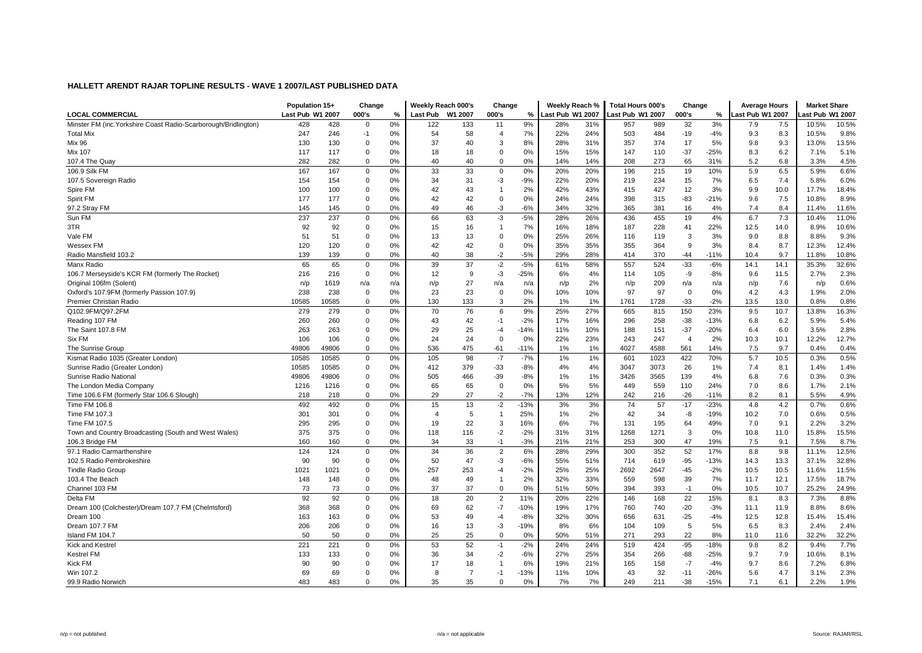|                                                                 | Population 15+   |       | Change      |     | Weekly Reach 000's      |                | Change         |        | Weekly Reach %   |     | <b>Total Hours 000's</b> |      | Change      |        | <b>Average Hours</b> |      | <b>Market Share</b> |       |
|-----------------------------------------------------------------|------------------|-------|-------------|-----|-------------------------|----------------|----------------|--------|------------------|-----|--------------------------|------|-------------|--------|----------------------|------|---------------------|-------|
| <b>LOCAL COMMERCIAL</b>                                         | Last Pub W1 2007 |       | 000's       | %   | Last Pub                | W1 2007        | 000's          | $\%$   | Last Pub W1 2007 |     | ast Pub W1 2007          |      | 000's       | $\%$   | ast Pub W1 2007      |      | ast Pub W1 2007.    |       |
| Minster FM (inc. Yorkshire Coast Radio-Scarborough/Bridlington) | 428              | 428   | $\mathbf 0$ | 0%  | 122                     | 133            | 11             | 9%     | 28%              | 31% | 957                      | 989  | 32          | 3%     | 7.9                  | 7.5  | 10.5%               | 10.5% |
| <b>Total Mix</b>                                                | 247              | 246   | $-1$        | 0%  | 54                      | 58             | $\overline{4}$ | 7%     | 22%              | 24% | 503                      | 484  | $-19$       | $-4%$  | 9.3                  | 8.3  | 10.5%               | 9.8%  |
| Mix 96                                                          | 130              | 130   | 0           | 0%  | 37                      | 40             | 3              | 8%     | 28%              | 31% | 357                      | 374  | 17          | 5%     | 9.8                  | 9.3  | 13.0%               | 13.5% |
| Mix 107                                                         | 117              | 117   | 0           | 0%  | 18                      | 18             | $\mathbf 0$    | 0%     | 15%              | 15% | 147                      | 110  | $-37$       | $-25%$ | 8.3                  | 6.2  | 7.1%                | 5.1%  |
| 107.4 The Quay                                                  | 282              | 282   | $\mathbf 0$ | 0%  | 40                      | 40             | $\Omega$       | 0%     | 14%              | 14% | 208                      | 273  | 65          | 31%    | 5.2                  | 6.8  | 3.3%                | 4.5%  |
| 106.9 Silk FM                                                   | 167              | 167   | $\mathbf 0$ | 0%  | 33                      | 33             | $\Omega$       | 0%     | 20%              | 20% | 196                      | 215  | 19          | 10%    | 5.9                  | 6.5  | 5.9%                | 6.6%  |
| 107.5 Sovereign Radio                                           | 154              | 154   | 0           | 0%  | 34                      | 31             | -3             | $-9%$  | 22%              | 20% | 219                      | 234  | 15          | 7%     | 6.5                  | 7.4  | 5.8%                | 6.0%  |
| Spire FM                                                        | 100              | 100   | $\mathbf 0$ | 0%  | 42                      | 43             | $\overline{1}$ | 2%     | 42%              | 43% | 415                      | 427  | 12          | 3%     | 9.9                  | 10.0 | 17.7%               | 18.4% |
| Spirit FM                                                       | 177              | 177   | 0           | 0%  | 42                      | 42             | $\Omega$       | 0%     | 24%              | 24% | 398                      | 315  | $-83$       | $-21%$ | 9.6                  | 7.5  | 10.8%               | 8.9%  |
| 97.2 Stray FM                                                   | 145              | 145   | 0           | 0%  | 49                      | 46             | $-3$           | $-6%$  | 34%              | 32% | 365                      | 381  | 16          | 4%     | 7.4                  | 8.4  | 11.4%               | 11.6% |
| Sun FM                                                          | 237              | 237   | 0           | 0%  | 66                      | 63             | -3             | $-5%$  | 28%              | 26% | 436                      | 455  | 19          | 4%     | 6.7                  | 7.3  | 10.4%               | 11.0% |
| 3TR                                                             | 92               | 92    | $\mathbf 0$ | 0%  | 15                      | 16             | $\overline{1}$ | 7%     | 16%              | 18% | 187                      | 228  | 41          | 22%    | 12.5                 | 14.0 | 8.9%                | 10.6% |
| Vale FM                                                         | 51               | 51    | 0           | 0%  | 13                      | 13             | $\Omega$       | 0%     | 25%              | 26% | 116                      | 119  | 3           | 3%     | 9.0                  | 8.8  | 8.8%                | 9.3%  |
| Wessex FM                                                       | 120              | 120   | 0           | 0%  | 42                      | 42             | $\Omega$       | 0%     | 35%              | 35% | 355                      | 364  | 9           | 3%     | 8.4                  | 8.7  | 12.3%               | 12.4% |
| Radio Mansfield 103.2                                           | 139              | 139   | $\mathbf 0$ | 0%  | 40                      | 38             | $-2$           | $-5%$  | 29%              | 28% | 414                      | 370  | $-44$       | $-11%$ | 10.4                 | 9.7  | 11.8%               | 10.8% |
| Manx Radio                                                      | 65               | 65    | $\mathbf 0$ | 0%  | 39                      | 37             | $-2$           | $-5%$  | 61%              | 58% | 557                      | 524  | $-33$       | $-6%$  | 14.1                 | 14.1 | 35.3%               | 32.6% |
| 106.7 Merseyside's KCR FM (formerly The Rocket)                 | 216              | 216   | 0           | 0%  | 12                      | 9              | -3             | $-25%$ | 6%               | 4%  | 114                      | 105  | -9          | $-8%$  | 9.6                  | 11.5 | 2.7%                | 2.3%  |
| Original 106fm (Solent)                                         | n/p              | 1619  | n/a         | n/a | n/p                     | 27             | n/a            | n/a    | n/p              | 2%  | n/p                      | 209  | n/a         | n/a    | n/p                  | 7.6  | n/p                 | 0.6%  |
| Oxford's 107.9FM (formerly Passion 107.9)                       | 238              | 238   | $\mathbf 0$ | 0%  | 23                      | 23             | $\Omega$       | 0%     | 10%              | 10% | 97                       | 97   | $\mathbf 0$ | 0%     | 4.2                  | 4.3  | 1.9%                | 2.0%  |
| Premier Christian Radio                                         | 10585            | 10585 | $\mathbf 0$ | 0%  | 130                     | 133            | 3              | 2%     | 1%               | 1%  | 1761                     | 1728 | $-33$       | $-2%$  | 13.5                 | 13.0 | 0.8%                | 0.8%  |
| Q102.9FM/Q97.2FM                                                | 279              | 279   | 0           | 0%  | 70                      | 76             | 6              | 9%     | 25%              | 27% | 665                      | 815  | 150         | 23%    | 9.5                  | 10.7 | 13.8%               | 16.3% |
| Reading 107 FM                                                  | 260              | 260   | 0           | 0%  | 43                      | 42             | $-1$           | $-2%$  | 17%              | 16% | 296                      | 258  | $-38$       | $-13%$ | 6.8                  | 6.2  | 5.9%                | 5.4%  |
| The Saint 107.8 FM                                              | 263              | 263   | 0           | 0%  | 29                      | 25             | $-4$           | $-14%$ | 11%              | 10% | 188                      | 151  | $-37$       | $-20%$ | 6.4                  | 6.0  | 3.5%                | 2.8%  |
| Six FM                                                          | 106              | 106   | 0           | 0%  | 24                      | 24             | $\mathbf 0$    | 0%     | 22%              | 23% | 243                      | 247  | 4           | 2%     | 10.3                 | 10.1 | 12.2%               | 12.7% |
| The Sunrise Group                                               | 49806            | 49806 | $\mathbf 0$ | 0%  | 536                     | 475            | $-61$          | $-11%$ | 1%               | 1%  | 4027                     | 4588 | 561         | 14%    | 7.5                  | 9.7  | 0.4%                | 0.4%  |
| Kismat Radio 1035 (Greater London)                              | 10585            | 10585 | 0           | 0%  | 105                     | 98             | $-7$           | $-7%$  | 1%               | 1%  | 601                      | 1023 | 422         | 70%    | 5.7                  | 10.5 | 0.3%                | 0.5%  |
| Sunrise Radio (Greater London)                                  | 10585            | 10585 | 0           | 0%  | 412                     | 379            | $-33$          | $-8%$  | 4%               | 4%  | 3047                     | 3073 | 26          | 1%     | 7.4                  | 8.1  | 1.4%                | 1.4%  |
| Sunrise Radio National                                          | 49806            | 49806 | 0           | 0%  | 505                     | 466            | $-39$          | $-8%$  | 1%               | 1%  | 3426                     | 3565 | 139         | 4%     | 6.8                  | 7.6  | 0.3%                | 0.3%  |
| The London Media Company                                        | 1216             | 1216  | 0           | 0%  | 65                      | 65             | $\Omega$       | 0%     | 5%               | 5%  | 449                      | 559  | 110         | 24%    | 7.0                  | 8.6  | 1.7%                | 2.1%  |
| Time 106.6 FM (formerly Star 106.6 Slough)                      | 218              | 218   | 0           | 0%  | 29                      | 27             | $-2$           | $-7%$  | 13%              | 12% | 242                      | 216  | $-26$       | $-11%$ | 8.2                  | 8.1  | 5.5%                | 4.9%  |
| Time FM 106.8                                                   | 492              | 492   | $\mathbf 0$ | 0%  | 15                      | 13             | $-2$           | $-13%$ | 3%               | 3%  | 74                       | 57   | $-17$       | $-23%$ | 4.8                  | 4.2  | 0.7%                | 0.6%  |
| Time FM 107.3                                                   | 301              | 301   | 0           | 0%  | $\overline{\mathbf{4}}$ | 5              | $\mathbf{1}$   | 25%    | 1%               | 2%  | 42                       | 34   | -8          | $-19%$ | 10.2                 | 7.0  | 0.6%                | 0.5%  |
| Time FM 107.5                                                   | 295              | 295   | 0           | 0%  | 19                      | 22             | 3              | 16%    | 6%               | 7%  | 131                      | 195  | 64          | 49%    | 7.0                  | 9.1  | 2.2%                | 3.2%  |
| Town and Country Broadcasting (South and West Wales)            | 375              | 375   | 0           | 0%  | 118                     | 116            | $-2$           | $-2%$  | 31%              | 31% | 1268                     | 1271 | 3           | 0%     | 10.8                 | 11.0 | 15.8%               | 15.5% |
| 106.3 Bridge FM                                                 | 160              | 160   | 0           | 0%  | 34                      | 33             | $-1$           | $-3%$  | 21%              | 21% | 253                      | 300  | 47          | 19%    | 7.5                  | 9.1  | 7.5%                | 8.7%  |
| 97.1 Radio Carmarthenshire                                      | 124              | 124   | 0           | 0%  | 34                      | 36             | $\overline{2}$ | 6%     | 28%              | 29% | 300                      | 352  | 52          | 17%    | 8.8                  | 9.8  | 11.1%               | 12.5% |
| 102.5 Radio Pembrokeshire                                       | 90               | 90    | 0           | 0%  | 50                      | 47             | -3             | $-6%$  | 55%              | 51% | 714                      | 619  | $-95$       | $-13%$ | 14.3                 | 13.3 | 37.1%               | 32.8% |
| <b>Tindle Radio Group</b>                                       | 1021             | 1021  | 0           | 0%  | 257                     | 253            | $-4$           | $-2%$  | 25%              | 25% | 2692                     | 2647 | $-45$       | $-2%$  | 10.5                 | 10.5 | 11.6%               | 11.5% |
| 103.4 The Beach                                                 | 148              | 148   | $\mathbf 0$ | 0%  | 48                      | 49             | $\mathbf{1}$   | 2%     | 32%              | 33% | 559                      | 598  | 39          | 7%     | 11.7                 | 12.1 | 17.5%               | 18.7% |
| Channel 103 FM                                                  | 73               | 73    | $\mathbf 0$ | 0%  | 37                      | 37             | $\Omega$       | 0%     | 51%              | 50% | 394                      | 393  | $-1$        | 0%     | 10.5                 | 10.7 | 25.2%               | 24.9% |
| Delta FM                                                        | 92               | 92    | 0           | 0%  | 18                      | 20             | $\overline{2}$ | 11%    | 20%              | 22% | 146                      | 168  | 22          | 15%    | 8.1                  | 8.3  | 7.3%                | 8.8%  |
| Dream 100 (Colchester)/Dream 107.7 FM (Chelmsford)              | 368              | 368   | 0           | 0%  | 69                      | 62             | $-7$           | $-10%$ | 19%              | 17% | 760                      | 740  | $-20$       | $-3%$  | 11.1                 | 11.9 | 8.8%                | 8.6%  |
| Dream 100                                                       | 163              | 163   | 0           | 0%  | 53                      | 49             | $-4$           | $-8%$  | 32%              | 30% | 656                      | 631  | $-25$       | $-4%$  | 12.5                 | 12.8 | 15.4%               | 15.4% |
| Dream 107.7 FM                                                  | 206              | 206   | $\mathbf 0$ | 0%  | 16                      | 13             | $-3$           | $-19%$ | 8%               | 6%  | 104                      | 109  | 5           | 5%     | 6.5                  | 8.3  | 2.4%                | 2.4%  |
| Island FM 104.7                                                 | 50               | 50    | $\mathbf 0$ | 0%  | 25                      | 25             | $\Omega$       | 0%     | 50%              | 51% | 271                      | 293  | 22          | 8%     | 11.0                 | 11.6 | 32.2%               | 32.2% |
| Kick and Kestrel                                                | 221              | 221   | $\mathbf 0$ | 0%  | 53                      | 52             | $-1$           | $-2%$  | 24%              | 24% | 519                      | 424  | $-95$       | $-18%$ | 9.8                  | 8.2  | 9.4%                | 7.7%  |
| <b>Kestrel FM</b>                                               | 133              | 133   | 0           | 0%  | 36                      | 34             | $-2$           | $-6%$  | 27%              | 25% | 354                      | 266  | $-88$       | $-25%$ | 9.7                  | 7.9  | 10.6%               | 8.1%  |
| Kick FM                                                         | 90               | 90    | 0           | 0%  | 17                      | 18             | $\mathbf 1$    | 6%     | 19%              | 21% | 165                      | 158  | $-7$        | $-4%$  | 9.7                  | 8.6  | 7.2%                | 6.8%  |
| Win 107.2                                                       | 69               | 69    | 0           | 0%  | 8                       | $\overline{7}$ | -1             | $-13%$ | 11%              | 10% | 43                       | 32   | $-11$       | $-26%$ | 5.6                  | 4.7  | 3.1%                | 2.3%  |
| 99.9 Radio Norwich                                              | 483              | 483   | $\Omega$    | 0%  | 35                      | 35             | $\Omega$       | 0%     | 7%               | 7%  | 249                      | 211  | $-38$       | $-15%$ | 7.1                  | 6.1  | 2.2%                | 1.9%  |
|                                                                 |                  |       |             |     |                         |                |                |        |                  |     |                          |      |             |        |                      |      |                     |       |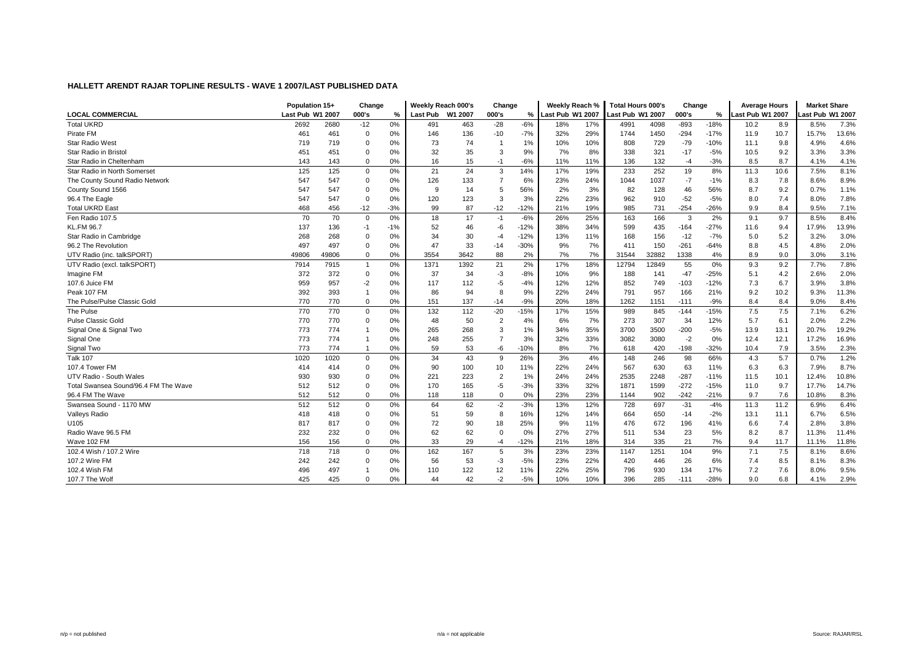|                                      | Population 15+   |       | Change         |       | Weekly Reach 000's |         | Change         |        | Weekly Reach %   |     | Total Hours 000's |       | Change |        | <b>Average Hours</b> |      | <b>Market Share</b> |       |
|--------------------------------------|------------------|-------|----------------|-------|--------------------|---------|----------------|--------|------------------|-----|-------------------|-------|--------|--------|----------------------|------|---------------------|-------|
| <b>LOCAL COMMERCIAL</b>              | Last Pub W1 2007 |       | 000's          | %     | Last Pub           | W1 2007 | 000's          | %      | Last Pub W1 2007 |     | ast Pub W1 2007-  |       | 000's  | %      | ast Pub W1 2007.     |      | ast Pub W1 2007.    |       |
| <b>Total UKRD</b>                    | 2692             | 2680  | $-12$          | 0%    | 491                | 463     | $-28$          | $-6%$  | 18%              | 17% | 4991              | 4098  | $-893$ | $-18%$ | 10.2                 | 8.9  | 8.5%                | 7.3%  |
| Pirate FM                            | 461              | 461   | 0              | 0%    | 146                | 136     | $-10$          | $-7%$  | 32%              | 29% | 1744              | 1450  | $-294$ | $-17%$ | 11.9                 | 10.7 | 15.7%               | 13.6% |
| <b>Star Radio West</b>               | 719              | 719   | 0              | 0%    | 73                 | 74      |                | 1%     | 10%              | 10% | 808               | 729   | $-79$  | $-10%$ | 11.1                 | 9.8  | 4.9%                | 4.6%  |
| Star Radio in Bristol                | 451              | 451   | $\mathbf 0$    | 0%    | 32                 | 35      | 3              | 9%     | 7%               | 8%  | 338               | 321   | $-17$  | $-5%$  | 10.5                 | 9.2  | 3.3%                | 3.3%  |
| Star Radio in Cheltenham             | 143              | 143   | $\mathbf 0$    | 0%    | 16                 | 15      | $-1$           | $-6%$  | 11%              | 11% | 136               | 132   | $-4$   | $-3%$  | 8.5                  | 8.7  | 4.1%                | 4.1%  |
| Star Radio in North Somerset         | 125              | 125   | 0              | 0%    | 21                 | 24      | 3              | 14%    | 17%              | 19% | 233               | 252   | 19     | 8%     | 11.3                 | 10.6 | 7.5%                | 8.1%  |
| The County Sound Radio Network       | 547              | 547   | 0              | 0%    | 126                | 133     | $\overline{7}$ | 6%     | 23%              | 24% | 1044              | 1037  | $-7$   | $-1%$  | 8.3                  | 7.8  | 8.6%                | 8.9%  |
| County Sound 1566                    | 547              | 547   | 0              | 0%    | 9                  | 14      | 5              | 56%    | 2%               | 3%  | 82                | 128   | 46     | 56%    | 8.7                  | 9.2  | 0.7%                | 1.1%  |
| 96.4 The Eagle                       | 547              | 547   | 0              | 0%    | 120                | 123     | 3              | 3%     | 22%              | 23% | 962               | 910   | $-52$  | $-5%$  | 8.0                  | 7.4  | 8.0%                | 7.8%  |
| <b>Total UKRD East</b>               | 468              | 456   | -12            | $-3%$ | 99                 | 87      | $-12$          | $-12%$ | 21%              | 19% | 985               | 731   | $-254$ | $-26%$ | 9.9                  | 8.4  | 9.5%                | 7.1%  |
| Fen Radio 107.5                      | 70               | 70    | $\mathbf 0$    | 0%    | 18                 | 17      | $-1$           | $-6%$  | 26%              | 25% | 163               | 166   | 3      | 2%     | 9.1                  | 9.7  | 8.5%                | 8.4%  |
| <b>KL.FM 96.7</b>                    | 137              | 136   | $-1$           | $-1%$ | 52                 | 46      | $-6$           | $-12%$ | 38%              | 34% | 599               | 435   | $-164$ | $-27%$ | 11.6                 | 9.4  | 17.9%               | 13.9% |
| Star Radio in Cambridge              | 268              | 268   | 0              | $0\%$ | 34                 | 30      | -4             | $-12%$ | 13%              | 11% | 168               | 156   | $-12$  | $-7%$  | 5.0                  | 5.2  | 3.2%                | 3.0%  |
| 96.2 The Revolution                  | 497              | 497   | $\mathbf 0$    | 0%    | 47                 | 33      | $-14$          | $-30%$ | 9%               | 7%  | 411               | 150   | $-261$ | $-64%$ | 8.8                  | 4.5  | 4.8%                | 2.0%  |
| UTV Radio (inc. talkSPORT)           | 49806            | 49806 | $\mathbf 0$    | 0%    | 3554               | 3642    | 88             | 2%     | 7%               | 7%  | 31544             | 32882 | 1338   | 4%     | 8.9                  | 9.0  | 3.0%                | 3.1%  |
| UTV Radio (excl. talkSPORT)          | 7914             | 7915  | $\overline{1}$ | 0%    | 1371               | 1392    | 21             | 2%     | 17%              | 18% | 12794             | 12849 | 55     | 0%     | 9.3                  | 9.2  | 7.7%                | 7.8%  |
| Imagine FM                           | 372              | 372   | 0              | 0%    | 37                 | 34      | $-3$           | $-8%$  | 10%              | 9%  | 188               | 141   | $-47$  | $-25%$ | 5.1                  | 4.2  | 2.6%                | 2.0%  |
| 107.6 Juice FM                       | 959              | 957   | $-2$           | 0%    | 117                | 112     | $-5$           | $-4%$  | 12%              | 12% | 852               | 749   | $-103$ | $-12%$ | 7.3                  | 6.7  | 3.9%                | 3.8%  |
| Peak 107 FM                          | 392              | 393   | $\overline{1}$ | 0%    | 86                 | 94      | 8              | 9%     | 22%              | 24% | 791               | 957   | 166    | 21%    | 9.2                  | 10.2 | 9.3%                | 11.3% |
| The Pulse/Pulse Classic Gold         | 770              | 770   | $\mathbf 0$    | 0%    | 151                | 137     | $-14$          | $-9%$  | 20%              | 18% | 1262              | 1151  | $-111$ | -9%    | 8.4                  | 8.4  | 9.0%                | 8.4%  |
| The Pulse                            | 770              | 770   | 0              | 0%    | 132                | 112     | $-20$          | $-15%$ | 17%              | 15% | 989               | 845   | $-144$ | $-15%$ | 7.5                  | 7.5  | 7.1%                | 6.2%  |
| Pulse Classic Gold                   | 770              | 770   | $\mathbf 0$    | $0\%$ | 48                 | 50      | $\overline{2}$ | 4%     | 6%               | 7%  | 273               | 307   | 34     | 12%    | 5.7                  | 6.1  | 2.0%                | 2.2%  |
| Signal One & Signal Two              | 773              | 774   | $\overline{1}$ | 0%    | 265                | 268     | 3              | 1%     | 34%              | 35% | 3700              | 3500  | $-200$ | $-5%$  | 13.9                 | 13.1 | 20.7%               | 19.2% |
| Signal One                           | 773              | 774   | $\overline{1}$ | 0%    | 248                | 255     | $\overline{7}$ | 3%     | 32%              | 33% | 3082              | 3080  | $-2$   | 0%     | 12.4                 | 12.1 | 17.2%               | 16.9% |
| Signal Two                           | 773              | 774   | $\overline{1}$ | 0%    | 59                 | 53      | -6             | $-10%$ | 8%               | 7%  | 618               | 420   | $-198$ | $-32%$ | 10.4                 | 7.9  | 3.5%                | 2.3%  |
| <b>Talk 107</b>                      | 1020             | 1020  | 0              | 0%    | 34                 | 43      | 9              | 26%    | 3%               | 4%  | 148               | 246   | 98     | 66%    | 4.3                  | 5.7  | 0.7%                | 1.2%  |
| 107.4 Tower FM                       | 414              | 414   | $\mathbf 0$    | 0%    | 90                 | 100     | 10             | 11%    | 22%              | 24% | 567               | 630   | 63     | 11%    | 6.3                  | 6.3  | 7.9%                | 8.7%  |
| UTV Radio - South Wales              | 930              | 930   | 0              | 0%    | 221                | 223     | $\overline{2}$ | 1%     | 24%              | 24% | 2535              | 2248  | $-287$ | $-11%$ | 11.5                 | 10.1 | 12.4%               | 10.8% |
| Total Swansea Sound/96.4 FM The Wave | 512              | 512   | $\mathbf 0$    | 0%    | 170                | 165     | $-5$           | $-3%$  | 33%              | 32% | 1871              | 1599  | $-272$ | $-15%$ | 11.0                 | 9.7  | 17.7%               | 14.7% |
| 96.4 FM The Wave                     | 512              | 512   | $\mathbf 0$    | 0%    | 118                | 118     | $\Omega$       | 0%     | 23%              | 23% | 1144              | 902   | $-242$ | $-21%$ | 9.7                  | 7.6  | 10.8%               | 8.3%  |
| Swansea Sound - 1170 MW              | 512              | 512   | 0              | 0%    | 64                 | 62      | $-2$           | $-3%$  | 13%              | 12% | 728               | 697   | $-31$  | $-4%$  | 11.3                 | 11.2 | 6.9%                | 6.4%  |
| Valleys Radio                        | 418              | 418   | 0              | $0\%$ | 51                 | 59      | 8              | 16%    | 12%              | 14% | 664               | 650   | $-14$  | $-2%$  | 13.1                 | 11.1 | 6.7%                | 6.5%  |
| U105                                 | 817              | 817   | $\mathbf 0$    | 0%    | 72                 | 90      | 18             | 25%    | 9%               | 11% | 476               | 672   | 196    | 41%    | 6.6                  | 7.4  | 2.8%                | 3.8%  |
| Radio Wave 96.5 FM                   | 232              | 232   | $\mathbf 0$    | 0%    | 62                 | 62      | $\Omega$       | 0%     | 27%              | 27% | 511               | 534   | 23     | 5%     | 8.2                  | 8.7  | 11.3%               | 11.4% |
| Wave 102 FM                          | 156              | 156   | $\mathbf 0$    | 0%    | 33                 | 29      | $-4$           | $-12%$ | 21%              | 18% | 314               | 335   | 21     | 7%     | 9.4                  | 11.7 | 11.1%               | 11.8% |
| 102.4 Wish / 107.2 Wire              | 718              | 718   | 0              | 0%    | 162                | 167     | 5              | 3%     | 23%              | 23% | 1147              | 1251  | 104    | 9%     | 7.1                  | 7.5  | 8.1%                | 8.6%  |
| 107.2 Wire FM                        | 242              | 242   | $\mathbf 0$    | 0%    | 56                 | 53      | $-3$           | $-5%$  | 23%              | 22% | 420               | 446   | 26     | 6%     | 7.4                  | 8.5  | 8.1%                | 8.3%  |
| 102.4 Wish FM                        | 496              | 497   | -1             | 0%    | 110                | 122     | 12             | 11%    | 22%              | 25% | 796               | 930   | 134    | 17%    | 7.2                  | 7.6  | 8.0%                | 9.5%  |
| 107.7 The Wolf                       | 425              | 425   | $\mathbf 0$    | 0%    | 44                 | 42      | $-2$           | $-5%$  | 10%              | 10% | 396               | 285   | $-111$ | $-28%$ | 9.0                  | 6.8  | 4.1%                | 2.9%  |